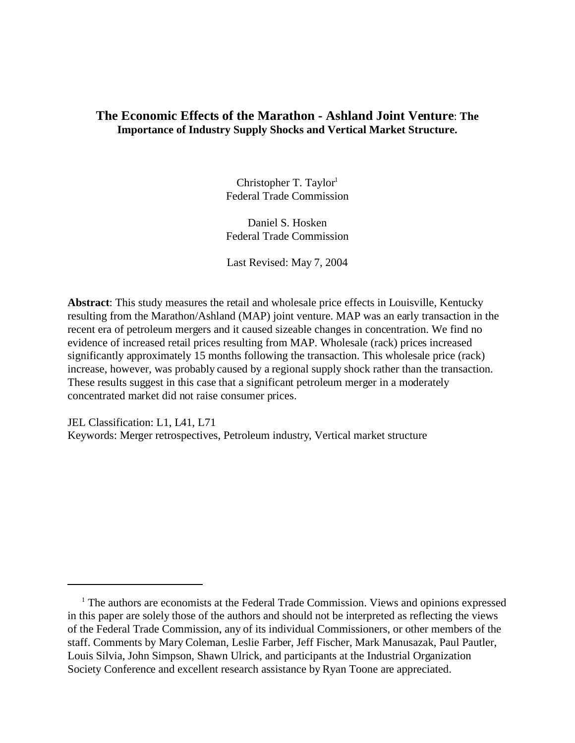# **The Economic Effects of the Marathon - Ashland Joint Venture**: **The Importance of Industry Supply Shocks and Vertical Market Structure.**

Christopher T. Taylor $1$ Federal Trade Commission

Daniel S. Hosken Federal Trade Commission

Last Revised: May 7, 2004

**Abstract**: This study measures the retail and wholesale price effects in Louisville, Kentucky resulting from the Marathon/Ashland (MAP) joint venture. MAP was an early transaction in the recent era of petroleum mergers and it caused sizeable changes in concentration. We find no evidence of increased retail prices resulting from MAP. Wholesale (rack) prices increased significantly approximately 15 months following the transaction. This wholesale price (rack) increase, however, was probably caused by a regional supply shock rather than the transaction. These results suggest in this case that a significant petroleum merger in a moderately concentrated market did not raise consumer prices.

JEL Classification: L1, L41, L71 Keywords: Merger retrospectives, Petroleum industry, Vertical market structure

<sup>&</sup>lt;sup>1</sup> The authors are economists at the Federal Trade Commission. Views and opinions expressed in this paper are solely those of the authors and should not be interpreted as reflecting the views of the Federal Trade Commission, any of its individual Commissioners, or other members of the staff. Comments by Mary Coleman, Leslie Farber, Jeff Fischer, Mark Manusazak, Paul Pautler, Louis Silvia, John Simpson, Shawn Ulrick, and participants at the Industrial Organization Society Conference and excellent research assistance by Ryan Toone are appreciated.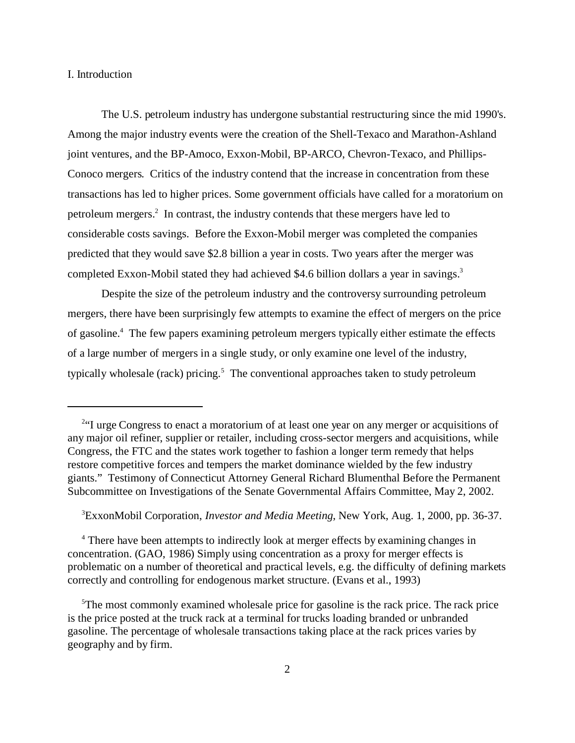I. Introduction

The U.S. petroleum industry has undergone substantial restructuring since the mid 1990's. Among the major industry events were the creation of the Shell-Texaco and Marathon-Ashland joint ventures, and the BP-Amoco, Exxon-Mobil, BP-ARCO, Chevron-Texaco, and Phillips-Conoco mergers. Critics of the industry contend that the increase in concentration from these transactions has led to higher prices. Some government officials have called for a moratorium on petroleum mergers.<sup>2</sup> In contrast, the industry contends that these mergers have led to considerable costs savings. Before the Exxon-Mobil merger was completed the companies predicted that they would save \$2.8 billion a year in costs. Two years after the merger was completed Exxon-Mobil stated they had achieved \$4.6 billion dollars a year in savings.<sup>3</sup>

Despite the size of the petroleum industry and the controversy surrounding petroleum mergers, there have been surprisingly few attempts to examine the effect of mergers on the price of gasoline.<sup>4</sup> The few papers examining petroleum mergers typically either estimate the effects of a large number of mergers in a single study, or only examine one level of the industry, typically wholesale (rack) pricing.<sup>5</sup> The conventional approaches taken to study petroleum

<sup>3</sup>ExxonMobil Corporation, *Investor and Media Meeting*, New York, Aug. 1, 2000, pp. 36-37.

<sup>4</sup> There have been attempts to indirectly look at merger effects by examining changes in concentration. (GAO, 1986) Simply using concentration as a proxy for merger effects is problematic on a number of theoretical and practical levels, e.g. the difficulty of defining markets correctly and controlling for endogenous market structure. (Evans et al., 1993)

<sup>&</sup>lt;sup>2</sup>H urge Congress to enact a moratorium of at least one year on any merger or acquisitions of any major oil refiner, supplier or retailer, including cross-sector mergers and acquisitions, while Congress, the FTC and the states work together to fashion a longer term remedy that helps restore competitive forces and tempers the market dominance wielded by the few industry giants." Testimony of Connecticut Attorney General Richard Blumenthal Before the Permanent Subcommittee on Investigations of the Senate Governmental Affairs Committee, May 2, 2002.

<sup>&</sup>lt;sup>5</sup>The most commonly examined wholesale price for gasoline is the rack price. The rack price is the price posted at the truck rack at a terminal for trucks loading branded or unbranded gasoline. The percentage of wholesale transactions taking place at the rack prices varies by geography and by firm.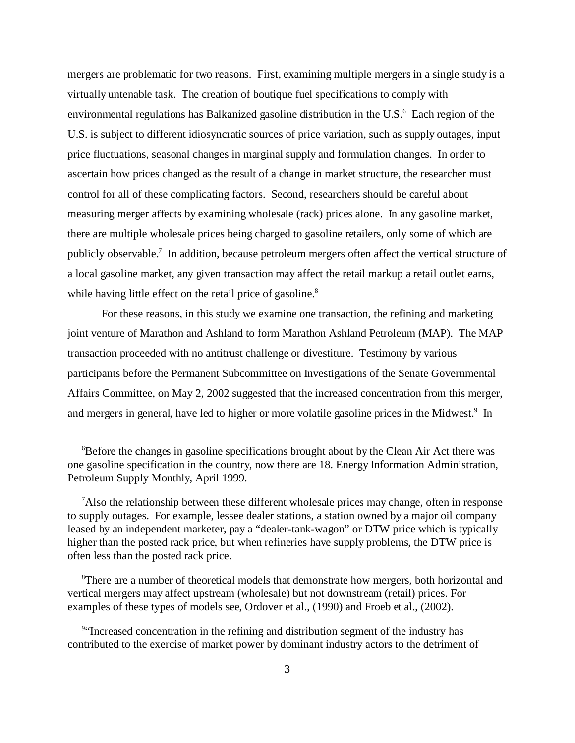mergers are problematic for two reasons. First, examining multiple mergers in a single study is a virtually untenable task. The creation of boutique fuel specifications to comply with environmental regulations has Balkanized gasoline distribution in the U.S.<sup>6</sup> Each region of the U.S. is subject to different idiosyncratic sources of price variation, such as supply outages, input price fluctuations, seasonal changes in marginal supply and formulation changes. In order to ascertain how prices changed as the result of a change in market structure, the researcher must control for all of these complicating factors. Second, researchers should be careful about measuring merger affects by examining wholesale (rack) prices alone. In any gasoline market, there are multiple wholesale prices being charged to gasoline retailers, only some of which are publicly observable.<sup>7</sup> In addition, because petroleum mergers often affect the vertical structure of a local gasoline market, any given transaction may affect the retail markup a retail outlet earns, while having little effect on the retail price of gasoline.<sup>8</sup>

For these reasons, in this study we examine one transaction, the refining and marketing joint venture of Marathon and Ashland to form Marathon Ashland Petroleum (MAP). The MAP transaction proceeded with no antitrust challenge or divestiture. Testimony by various participants before the Permanent Subcommittee on Investigations of the Senate Governmental Affairs Committee, on May 2, 2002 suggested that the increased concentration from this merger, and mergers in general, have led to higher or more volatile gasoline prices in the Midwest.<sup>9</sup> In

<sup>8</sup>There are a number of theoretical models that demonstrate how mergers, both horizontal and vertical mergers may affect upstream (wholesale) but not downstream (retail) prices. For examples of these types of models see, Ordover et al., (1990) and Froeb et al., (2002).

<sup>6</sup>Before the changes in gasoline specifications brought about by the Clean Air Act there was one gasoline specification in the country, now there are 18. Energy Information Administration, Petroleum Supply Monthly, April 1999.

 $\alpha$  also the relationship between these different wholesale prices may change, often in response to supply outages. For example, lessee dealer stations, a station owned by a major oil company leased by an independent marketer, pay a "dealer-tank-wagon" or DTW price which is typically higher than the posted rack price, but when refineries have supply problems, the DTW price is often less than the posted rack price.

<sup>&</sup>lt;sup>9</sup>"Increased concentration in the refining and distribution segment of the industry has contributed to the exercise of market power by dominant industry actors to the detriment of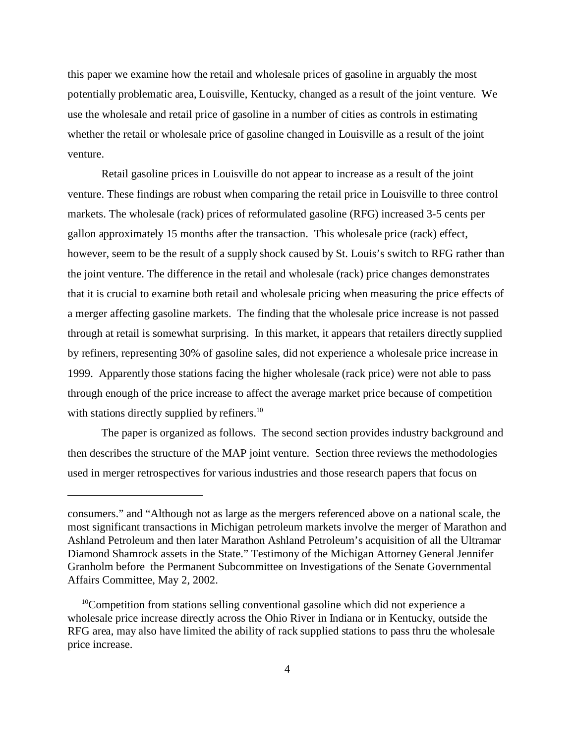this paper we examine how the retail and wholesale prices of gasoline in arguably the most potentially problematic area, Louisville, Kentucky, changed as a result of the joint venture. We use the wholesale and retail price of gasoline in a number of cities as controls in estimating whether the retail or wholesale price of gasoline changed in Louisville as a result of the joint venture.

Retail gasoline prices in Louisville do not appear to increase as a result of the joint venture. These findings are robust when comparing the retail price in Louisville to three control markets. The wholesale (rack) prices of reformulated gasoline (RFG) increased 3-5 cents per gallon approximately 15 months after the transaction. This wholesale price (rack) effect, however, seem to be the result of a supply shock caused by St. Louis's switch to RFG rather than the joint venture. The difference in the retail and wholesale (rack) price changes demonstrates that it is crucial to examine both retail and wholesale pricing when measuring the price effects of a merger affecting gasoline markets. The finding that the wholesale price increase is not passed through at retail is somewhat surprising. In this market, it appears that retailers directly supplied by refiners, representing 30% of gasoline sales, did not experience a wholesale price increase in 1999. Apparently those stations facing the higher wholesale (rack price) were not able to pass through enough of the price increase to affect the average market price because of competition with stations directly supplied by refiners.<sup>10</sup>

The paper is organized as follows. The second section provides industry background and then describes the structure of the MAP joint venture. Section three reviews the methodologies used in merger retrospectives for various industries and those research papers that focus on

consumers." and "Although not as large as the mergers referenced above on a national scale, the most significant transactions in Michigan petroleum markets involve the merger of Marathon and Ashland Petroleum and then later Marathon Ashland Petroleum's acquisition of all the Ultramar Diamond Shamrock assets in the State." Testimony of the Michigan Attorney General Jennifer Granholm before the Permanent Subcommittee on Investigations of the Senate Governmental Affairs Committee, May 2, 2002.

<sup>&</sup>lt;sup>10</sup>Competition from stations selling conventional gasoline which did not experience a wholesale price increase directly across the Ohio River in Indiana or in Kentucky, outside the RFG area, may also have limited the ability of rack supplied stations to pass thru the wholesale price increase.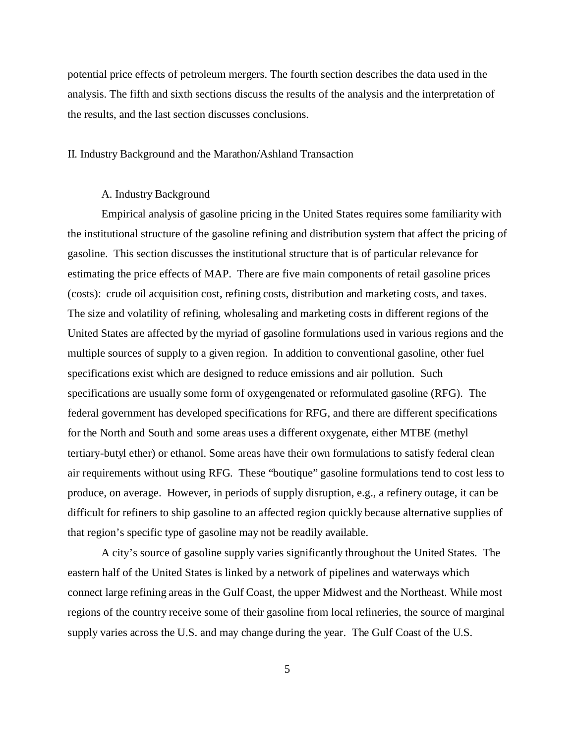potential price effects of petroleum mergers. The fourth section describes the data used in the analysis. The fifth and sixth sections discuss the results of the analysis and the interpretation of the results, and the last section discusses conclusions.

#### II. Industry Background and the Marathon/Ashland Transaction

#### A. Industry Background

Empirical analysis of gasoline pricing in the United States requires some familiarity with the institutional structure of the gasoline refining and distribution system that affect the pricing of gasoline. This section discusses the institutional structure that is of particular relevance for estimating the price effects of MAP. There are five main components of retail gasoline prices (costs): crude oil acquisition cost, refining costs, distribution and marketing costs, and taxes. The size and volatility of refining, wholesaling and marketing costs in different regions of the United States are affected by the myriad of gasoline formulations used in various regions and the multiple sources of supply to a given region. In addition to conventional gasoline, other fuel specifications exist which are designed to reduce emissions and air pollution. Such specifications are usually some form of oxygengenated or reformulated gasoline (RFG). The federal government has developed specifications for RFG, and there are different specifications for the North and South and some areas uses a different oxygenate, either MTBE (methyl tertiary-butyl ether) or ethanol. Some areas have their own formulations to satisfy federal clean air requirements without using RFG. These "boutique" gasoline formulations tend to cost less to produce, on average. However, in periods of supply disruption, e.g., a refinery outage, it can be difficult for refiners to ship gasoline to an affected region quickly because alternative supplies of that region's specific type of gasoline may not be readily available.

A city's source of gasoline supply varies significantly throughout the United States. The eastern half of the United States is linked by a network of pipelines and waterways which connect large refining areas in the Gulf Coast, the upper Midwest and the Northeast. While most regions of the country receive some of their gasoline from local refineries, the source of marginal supply varies across the U.S. and may change during the year. The Gulf Coast of the U.S.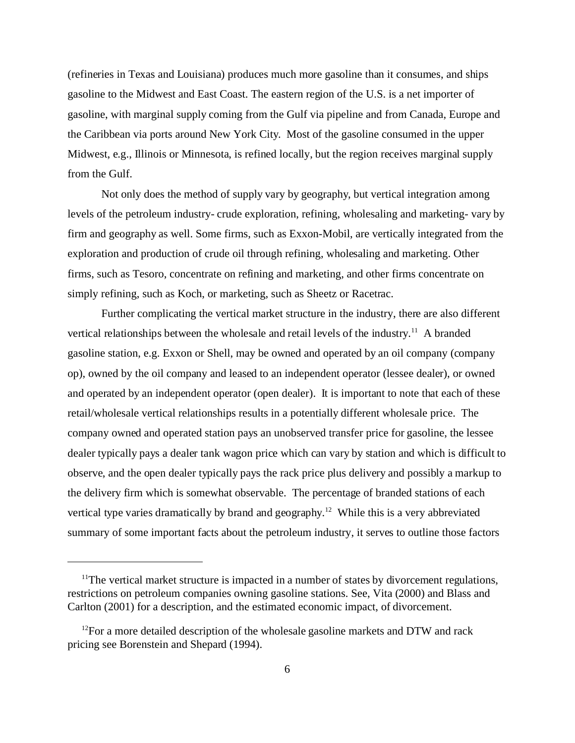(refineries in Texas and Louisiana) produces much more gasoline than it consumes, and ships gasoline to the Midwest and East Coast. The eastern region of the U.S. is a net importer of gasoline, with marginal supply coming from the Gulf via pipeline and from Canada, Europe and the Caribbean via ports around New York City. Most of the gasoline consumed in the upper Midwest, e.g., Illinois or Minnesota, is refined locally, but the region receives marginal supply from the Gulf.

Not only does the method of supply vary by geography, but vertical integration among levels of the petroleum industry- crude exploration, refining, wholesaling and marketing- vary by firm and geography as well. Some firms, such as Exxon-Mobil, are vertically integrated from the exploration and production of crude oil through refining, wholesaling and marketing. Other firms, such as Tesoro, concentrate on refining and marketing, and other firms concentrate on simply refining, such as Koch, or marketing, such as Sheetz or Racetrac.

Further complicating the vertical market structure in the industry, there are also different vertical relationships between the wholesale and retail levels of the industry.<sup>11</sup> A branded gasoline station, e.g. Exxon or Shell, may be owned and operated by an oil company (company op), owned by the oil company and leased to an independent operator (lessee dealer), or owned and operated by an independent operator (open dealer). It is important to note that each of these retail/wholesale vertical relationships results in a potentially different wholesale price. The company owned and operated station pays an unobserved transfer price for gasoline, the lessee dealer typically pays a dealer tank wagon price which can vary by station and which is difficult to observe, and the open dealer typically pays the rack price plus delivery and possibly a markup to the delivery firm which is somewhat observable. The percentage of branded stations of each vertical type varies dramatically by brand and geography.<sup>12</sup> While this is a very abbreviated summary of some important facts about the petroleum industry, it serves to outline those factors

 $11$ The vertical market structure is impacted in a number of states by divorcement regulations, restrictions on petroleum companies owning gasoline stations. See, Vita (2000) and Blass and Carlton (2001) for a description, and the estimated economic impact, of divorcement.

 $12$ For a more detailed description of the wholesale gasoline markets and DTW and rack pricing see Borenstein and Shepard (1994).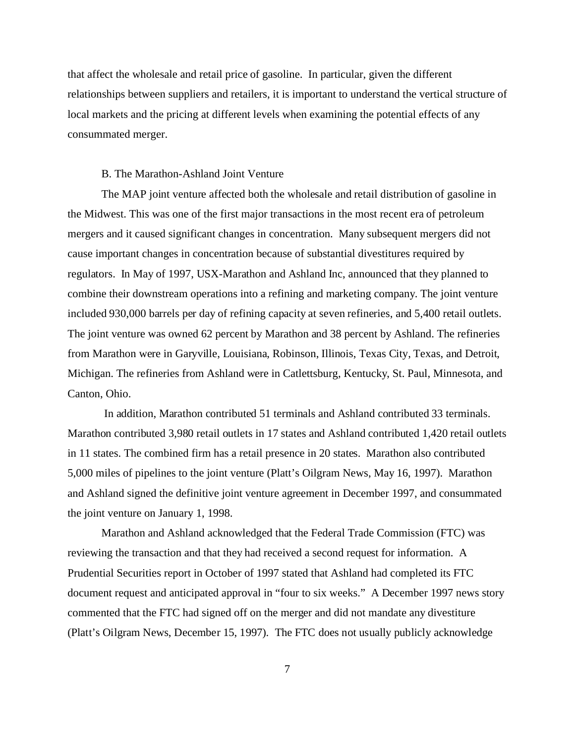that affect the wholesale and retail price of gasoline. In particular, given the different relationships between suppliers and retailers, it is important to understand the vertical structure of local markets and the pricing at different levels when examining the potential effects of any consummated merger.

#### B. The Marathon-Ashland Joint Venture

The MAP joint venture affected both the wholesale and retail distribution of gasoline in the Midwest. This was one of the first major transactions in the most recent era of petroleum mergers and it caused significant changes in concentration. Many subsequent mergers did not cause important changes in concentration because of substantial divestitures required by regulators. In May of 1997, USX-Marathon and Ashland Inc, announced that they planned to combine their downstream operations into a refining and marketing company. The joint venture included 930,000 barrels per day of refining capacity at seven refineries, and 5,400 retail outlets. The joint venture was owned 62 percent by Marathon and 38 percent by Ashland. The refineries from Marathon were in Garyville, Louisiana, Robinson, Illinois, Texas City, Texas, and Detroit, Michigan. The refineries from Ashland were in Catlettsburg, Kentucky, St. Paul, Minnesota, and Canton, Ohio.

 In addition, Marathon contributed 51 terminals and Ashland contributed 33 terminals. Marathon contributed 3,980 retail outlets in 17 states and Ashland contributed 1,420 retail outlets in 11 states. The combined firm has a retail presence in 20 states. Marathon also contributed 5,000 miles of pipelines to the joint venture (Platt's Oilgram News, May 16, 1997). Marathon and Ashland signed the definitive joint venture agreement in December 1997, and consummated the joint venture on January 1, 1998.

Marathon and Ashland acknowledged that the Federal Trade Commission (FTC) was reviewing the transaction and that they had received a second request for information. A Prudential Securities report in October of 1997 stated that Ashland had completed its FTC document request and anticipated approval in "four to six weeks." A December 1997 news story commented that the FTC had signed off on the merger and did not mandate any divestiture (Platt's Oilgram News, December 15, 1997). The FTC does not usually publicly acknowledge

7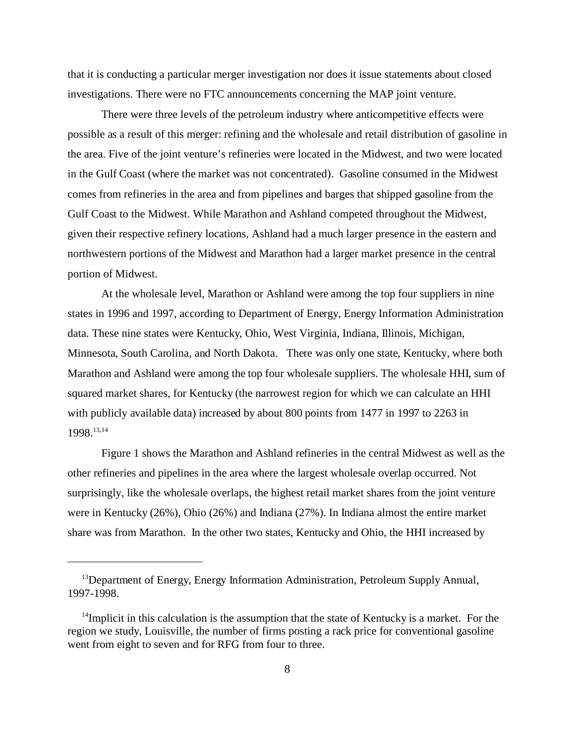that it is conducting a particular merger investigation nor does it issue statements about closed investigations. There were no FTC announcements concerning the MAP joint venture.

There were three levels of the petroleum industry where anticompetitive effects were possible as a result of this merger: refining and the wholesale and retail distribution of gasoline in the area. Five of the joint venture's refineries were located in the Midwest, and two were located in the Gulf Coast (where the market was not concentrated). Gasoline consumed in the Midwest comes from refineries in the area and from pipelines and barges that shipped gasoline from the Gulf Coast to the Midwest. While Marathon and Ashland competed throughout the Midwest, given their respective refinery locations, Ashland had a much larger presence in the eastern and northwestern portions of the Midwest and Marathon had a larger market presence in the central portion of Midwest.

At the wholesale level, Marathon or Ashland were among the top four suppliers in nine states in 1996 and 1997, according to Department of Energy, Energy Information Administration data. These nine states were Kentucky, Ohio, West Virginia, Indiana, Illinois, Michigan, Minnesota, South Carolina, and North Dakota. There was only one state, Kentucky, where both Marathon and Ashland were among the top four wholesale suppliers. The wholesale HHI, sum of squared market shares, for Kentucky (the narrowest region for which we can calculate an HHI with publicly available data) increased by about 800 points from 1477 in 1997 to 2263 in 1998.13,14

Figure 1 shows the Marathon and Ashland refineries in the central Midwest as well as the other refineries and pipelines in the area where the largest wholesale overlap occurred. Not surprisingly, like the wholesale overlaps, the highest retail market shares from the joint venture were in Kentucky (26%), Ohio (26%) and Indiana (27%). In Indiana almost the entire market share was from Marathon. In the other two states, Kentucky and Ohio, the HHI increased by

<sup>&</sup>lt;sup>13</sup>Department of Energy, Energy Information Administration, Petroleum Supply Annual, 1997-1998.

 $14$ Implicit in this calculation is the assumption that the state of Kentucky is a market. For the region we study, Louisville, the number of firms posting a rack price for conventional gasoline went from eight to seven and for RFG from four to three.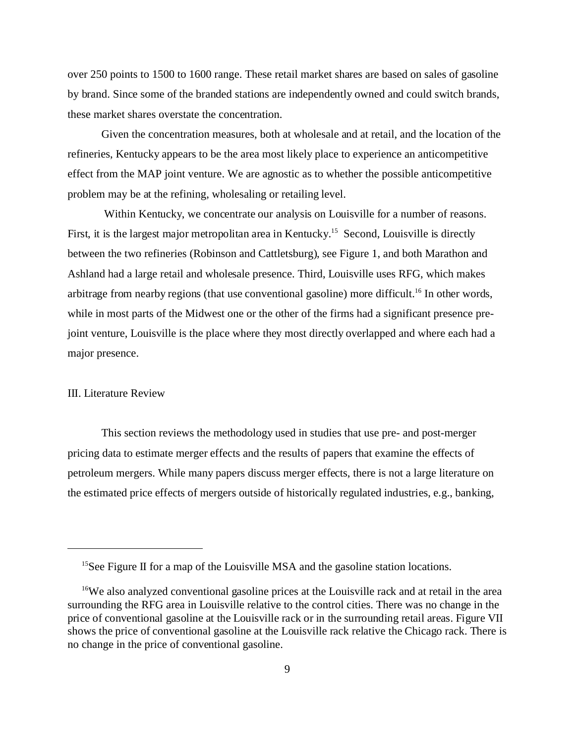over 250 points to 1500 to 1600 range. These retail market shares are based on sales of gasoline by brand. Since some of the branded stations are independently owned and could switch brands, these market shares overstate the concentration.

Given the concentration measures, both at wholesale and at retail, and the location of the refineries, Kentucky appears to be the area most likely place to experience an anticompetitive effect from the MAP joint venture. We are agnostic as to whether the possible anticompetitive problem may be at the refining, wholesaling or retailing level.

 Within Kentucky, we concentrate our analysis on Louisville for a number of reasons. First, it is the largest major metropolitan area in Kentucky.<sup>15</sup> Second, Louisville is directly between the two refineries (Robinson and Cattletsburg), see Figure 1, and both Marathon and Ashland had a large retail and wholesale presence. Third, Louisville uses RFG, which makes arbitrage from nearby regions (that use conventional gasoline) more difficult.<sup>16</sup> In other words, while in most parts of the Midwest one or the other of the firms had a significant presence prejoint venture, Louisville is the place where they most directly overlapped and where each had a major presence.

#### III. Literature Review

This section reviews the methodology used in studies that use pre- and post-merger pricing data to estimate merger effects and the results of papers that examine the effects of petroleum mergers. While many papers discuss merger effects, there is not a large literature on the estimated price effects of mergers outside of historically regulated industries, e.g., banking,

<sup>&</sup>lt;sup>15</sup>See Figure II for a map of the Louisville MSA and the gasoline station locations.

<sup>&</sup>lt;sup>16</sup>We also analyzed conventional gasoline prices at the Louisville rack and at retail in the area surrounding the RFG area in Louisville relative to the control cities. There was no change in the price of conventional gasoline at the Louisville rack or in the surrounding retail areas. Figure VII shows the price of conventional gasoline at the Louisville rack relative the Chicago rack. There is no change in the price of conventional gasoline.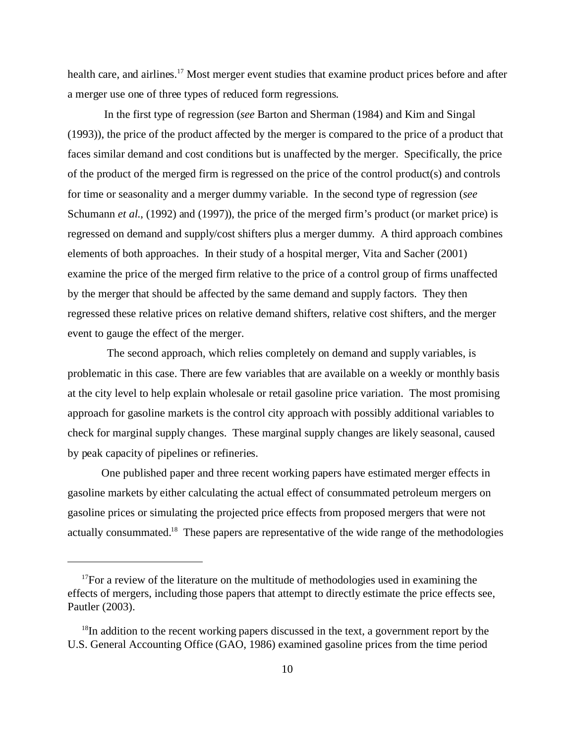health care, and airlines.<sup>17</sup> Most merger event studies that examine product prices before and after a merger use one of three types of reduced form regressions.

 In the first type of regression (*see* Barton and Sherman (1984) and Kim and Singal (1993)), the price of the product affected by the merger is compared to the price of a product that faces similar demand and cost conditions but is unaffected by the merger. Specifically, the price of the product of the merged firm is regressed on the price of the control product(s) and controls for time or seasonality and a merger dummy variable. In the second type of regression (*see* Schumann *et al.*, (1992) and (1997)), the price of the merged firm's product (or market price) is regressed on demand and supply/cost shifters plus a merger dummy. A third approach combines elements of both approaches. In their study of a hospital merger, Vita and Sacher (2001) examine the price of the merged firm relative to the price of a control group of firms unaffected by the merger that should be affected by the same demand and supply factors. They then regressed these relative prices on relative demand shifters, relative cost shifters, and the merger event to gauge the effect of the merger.

 The second approach, which relies completely on demand and supply variables, is problematic in this case. There are few variables that are available on a weekly or monthly basis at the city level to help explain wholesale or retail gasoline price variation. The most promising approach for gasoline markets is the control city approach with possibly additional variables to check for marginal supply changes. These marginal supply changes are likely seasonal, caused by peak capacity of pipelines or refineries.

One published paper and three recent working papers have estimated merger effects in gasoline markets by either calculating the actual effect of consummated petroleum mergers on gasoline prices or simulating the projected price effects from proposed mergers that were not actually consummated.<sup>18</sup> These papers are representative of the wide range of the methodologies

 $17$  For a review of the literature on the multitude of methodologies used in examining the effects of mergers, including those papers that attempt to directly estimate the price effects see, Pautler (2003).

 $18$ In addition to the recent working papers discussed in the text, a government report by the U.S. General Accounting Office (GAO, 1986) examined gasoline prices from the time period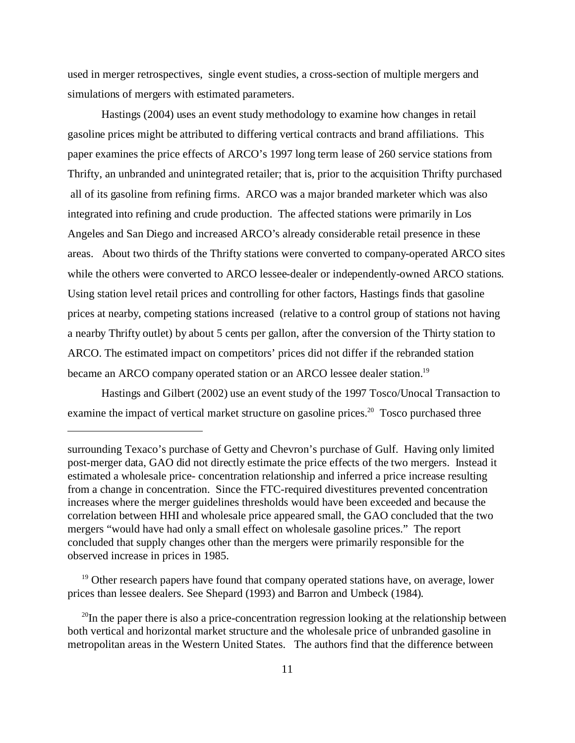used in merger retrospectives, single event studies, a cross-section of multiple mergers and simulations of mergers with estimated parameters.

Hastings (2004) uses an event study methodology to examine how changes in retail gasoline prices might be attributed to differing vertical contracts and brand affiliations. This paper examines the price effects of ARCO's 1997 long term lease of 260 service stations from Thrifty, an unbranded and unintegrated retailer; that is, prior to the acquisition Thrifty purchased all of its gasoline from refining firms. ARCO was a major branded marketer which was also integrated into refining and crude production. The affected stations were primarily in Los Angeles and San Diego and increased ARCO's already considerable retail presence in these areas. About two thirds of the Thrifty stations were converted to company-operated ARCO sites while the others were converted to ARCO lessee-dealer or independently-owned ARCO stations. Using station level retail prices and controlling for other factors, Hastings finds that gasoline prices at nearby, competing stations increased (relative to a control group of stations not having a nearby Thrifty outlet) by about 5 cents per gallon, after the conversion of the Thirty station to ARCO. The estimated impact on competitors' prices did not differ if the rebranded station became an ARCO company operated station or an ARCO lessee dealer station.<sup>19</sup>

 Hastings and Gilbert (2002) use an event study of the 1997 Tosco/Unocal Transaction to examine the impact of vertical market structure on gasoline prices.<sup>20</sup> Tosco purchased three

<sup>19</sup> Other research papers have found that company operated stations have, on average, lower prices than lessee dealers. See Shepard (1993) and Barron and Umbeck (1984).

surrounding Texaco's purchase of Getty and Chevron's purchase of Gulf. Having only limited post-merger data, GAO did not directly estimate the price effects of the two mergers. Instead it estimated a wholesale price- concentration relationship and inferred a price increase resulting from a change in concentration. Since the FTC-required divestitures prevented concentration increases where the merger guidelines thresholds would have been exceeded and because the correlation between HHI and wholesale price appeared small, the GAO concluded that the two mergers "would have had only a small effect on wholesale gasoline prices." The report concluded that supply changes other than the mergers were primarily responsible for the observed increase in prices in 1985.

 $^{20}$ In the paper there is also a price-concentration regression looking at the relationship between both vertical and horizontal market structure and the wholesale price of unbranded gasoline in metropolitan areas in the Western United States. The authors find that the difference between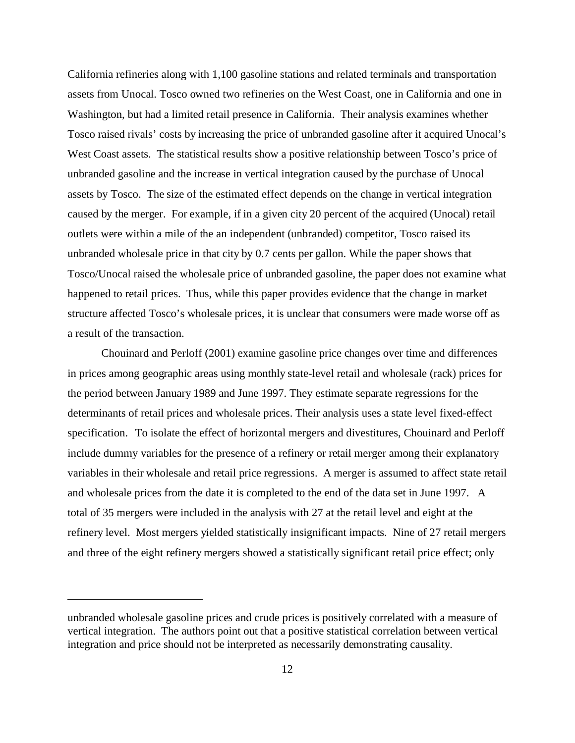California refineries along with 1,100 gasoline stations and related terminals and transportation assets from Unocal. Tosco owned two refineries on the West Coast, one in California and one in Washington, but had a limited retail presence in California. Their analysis examines whether Tosco raised rivals' costs by increasing the price of unbranded gasoline after it acquired Unocal's West Coast assets. The statistical results show a positive relationship between Tosco's price of unbranded gasoline and the increase in vertical integration caused by the purchase of Unocal assets by Tosco. The size of the estimated effect depends on the change in vertical integration caused by the merger. For example, if in a given city 20 percent of the acquired (Unocal) retail outlets were within a mile of the an independent (unbranded) competitor, Tosco raised its unbranded wholesale price in that city by 0.7 cents per gallon. While the paper shows that Tosco/Unocal raised the wholesale price of unbranded gasoline, the paper does not examine what happened to retail prices. Thus, while this paper provides evidence that the change in market structure affected Tosco's wholesale prices, it is unclear that consumers were made worse off as a result of the transaction.

Chouinard and Perloff (2001) examine gasoline price changes over time and differences in prices among geographic areas using monthly state-level retail and wholesale (rack) prices for the period between January 1989 and June 1997. They estimate separate regressions for the determinants of retail prices and wholesale prices. Their analysis uses a state level fixed-effect specification. To isolate the effect of horizontal mergers and divestitures, Chouinard and Perloff include dummy variables for the presence of a refinery or retail merger among their explanatory variables in their wholesale and retail price regressions. A merger is assumed to affect state retail and wholesale prices from the date it is completed to the end of the data set in June 1997. A total of 35 mergers were included in the analysis with 27 at the retail level and eight at the refinery level. Most mergers yielded statistically insignificant impacts. Nine of 27 retail mergers and three of the eight refinery mergers showed a statistically significant retail price effect; only

unbranded wholesale gasoline prices and crude prices is positively correlated with a measure of vertical integration.The authors point out that a positive statistical correlation between vertical integration and price should not be interpreted as necessarily demonstrating causality.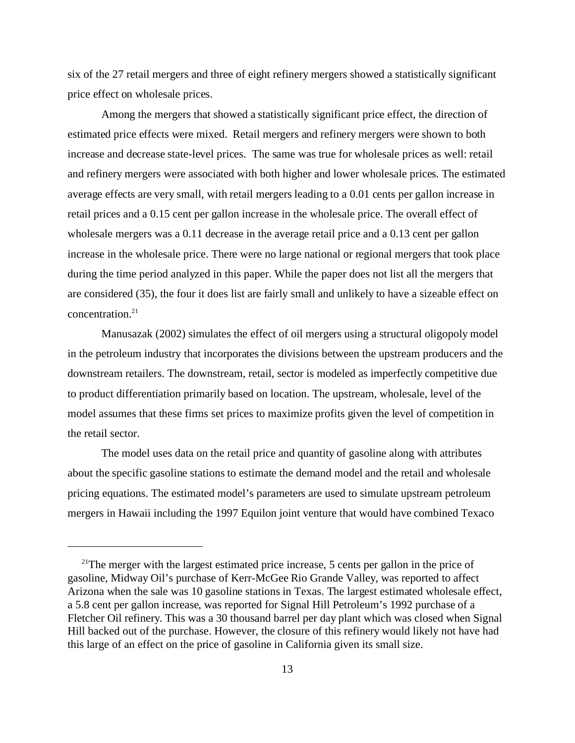six of the 27 retail mergers and three of eight refinery mergers showed a statistically significant price effect on wholesale prices.

Among the mergers that showed a statistically significant price effect, the direction of estimated price effects were mixed. Retail mergers and refinery mergers were shown to both increase and decrease state-level prices. The same was true for wholesale prices as well: retail and refinery mergers were associated with both higher and lower wholesale prices. The estimated average effects are very small, with retail mergers leading to a 0.01 cents per gallon increase in retail prices and a 0.15 cent per gallon increase in the wholesale price. The overall effect of wholesale mergers was a 0.11 decrease in the average retail price and a 0.13 cent per gallon increase in the wholesale price. There were no large national or regional mergers that took place during the time period analyzed in this paper. While the paper does not list all the mergers that are considered (35), the four it does list are fairly small and unlikely to have a sizeable effect on concentration.<sup>21</sup>

Manusazak (2002) simulates the effect of oil mergers using a structural oligopoly model in the petroleum industry that incorporates the divisions between the upstream producers and the downstream retailers. The downstream, retail, sector is modeled as imperfectly competitive due to product differentiation primarily based on location. The upstream, wholesale, level of the model assumes that these firms set prices to maximize profits given the level of competition in the retail sector.

The model uses data on the retail price and quantity of gasoline along with attributes about the specific gasoline stations to estimate the demand model and the retail and wholesale pricing equations. The estimated model's parameters are used to simulate upstream petroleum mergers in Hawaii including the 1997 Equilon joint venture that would have combined Texaco

 $2^{1}$ The merger with the largest estimated price increase, 5 cents per gallon in the price of gasoline, Midway Oil's purchase of Kerr-McGee Rio Grande Valley, was reported to affect Arizona when the sale was 10 gasoline stations in Texas. The largest estimated wholesale effect, a 5.8 cent per gallon increase, was reported for Signal Hill Petroleum's 1992 purchase of a Fletcher Oil refinery. This was a 30 thousand barrel per day plant which was closed when Signal Hill backed out of the purchase. However, the closure of this refinery would likely not have had this large of an effect on the price of gasoline in California given its small size.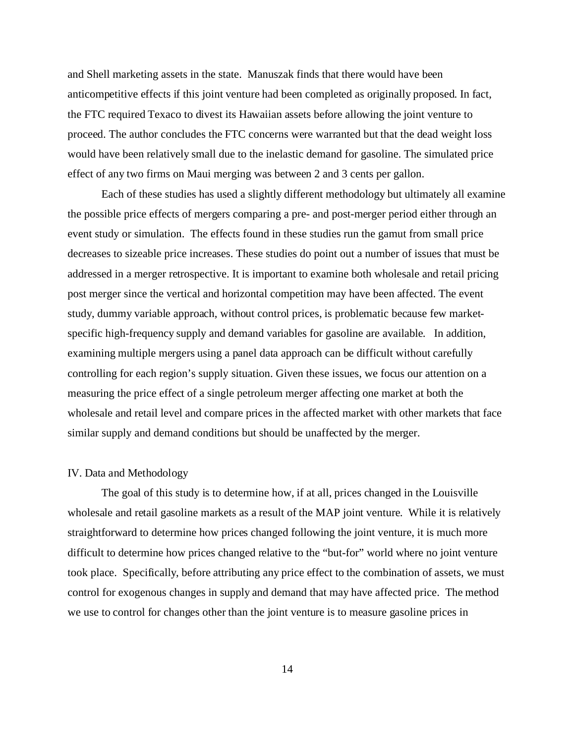and Shell marketing assets in the state. Manuszak finds that there would have been anticompetitive effects if this joint venture had been completed as originally proposed. In fact, the FTC required Texaco to divest its Hawaiian assets before allowing the joint venture to proceed. The author concludes the FTC concerns were warranted but that the dead weight loss would have been relatively small due to the inelastic demand for gasoline. The simulated price effect of any two firms on Maui merging was between 2 and 3 cents per gallon.

Each of these studies has used a slightly different methodology but ultimately all examine the possible price effects of mergers comparing a pre- and post-merger period either through an event study or simulation. The effects found in these studies run the gamut from small price decreases to sizeable price increases. These studies do point out a number of issues that must be addressed in a merger retrospective. It is important to examine both wholesale and retail pricing post merger since the vertical and horizontal competition may have been affected. The event study, dummy variable approach, without control prices, is problematic because few marketspecific high-frequency supply and demand variables for gasoline are available. In addition, examining multiple mergers using a panel data approach can be difficult without carefully controlling for each region's supply situation. Given these issues, we focus our attention on a measuring the price effect of a single petroleum merger affecting one market at both the wholesale and retail level and compare prices in the affected market with other markets that face similar supply and demand conditions but should be unaffected by the merger.

#### IV. Data and Methodology

The goal of this study is to determine how, if at all, prices changed in the Louisville wholesale and retail gasoline markets as a result of the MAP joint venture. While it is relatively straightforward to determine how prices changed following the joint venture, it is much more difficult to determine how prices changed relative to the "but-for" world where no joint venture took place. Specifically, before attributing any price effect to the combination of assets, we must control for exogenous changes in supply and demand that may have affected price. The method we use to control for changes other than the joint venture is to measure gasoline prices in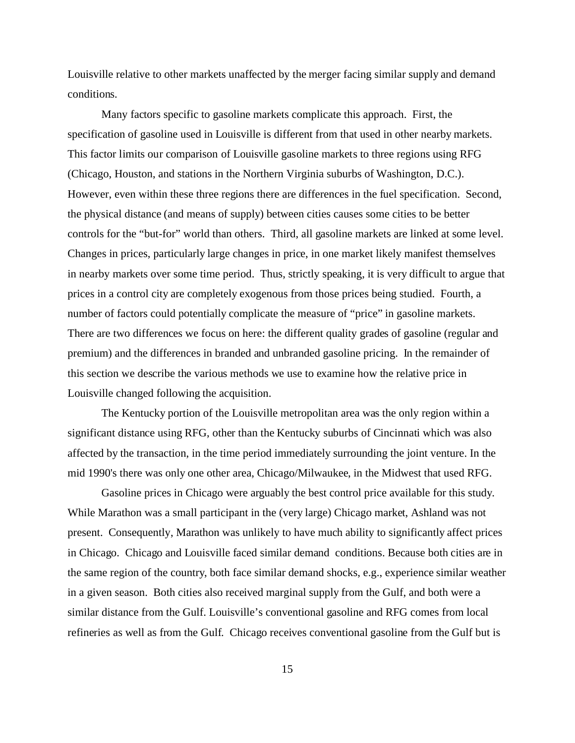Louisville relative to other markets unaffected by the merger facing similar supply and demand conditions.

Many factors specific to gasoline markets complicate this approach. First, the specification of gasoline used in Louisville is different from that used in other nearby markets. This factor limits our comparison of Louisville gasoline markets to three regions using RFG (Chicago, Houston, and stations in the Northern Virginia suburbs of Washington, D.C.). However, even within these three regions there are differences in the fuel specification. Second, the physical distance (and means of supply) between cities causes some cities to be better controls for the "but-for" world than others. Third, all gasoline markets are linked at some level. Changes in prices, particularly large changes in price, in one market likely manifest themselves in nearby markets over some time period. Thus, strictly speaking, it is very difficult to argue that prices in a control city are completely exogenous from those prices being studied. Fourth, a number of factors could potentially complicate the measure of "price" in gasoline markets. There are two differences we focus on here: the different quality grades of gasoline (regular and premium) and the differences in branded and unbranded gasoline pricing. In the remainder of this section we describe the various methods we use to examine how the relative price in Louisville changed following the acquisition.

The Kentucky portion of the Louisville metropolitan area was the only region within a significant distance using RFG, other than the Kentucky suburbs of Cincinnati which was also affected by the transaction, in the time period immediately surrounding the joint venture. In the mid 1990's there was only one other area, Chicago/Milwaukee, in the Midwest that used RFG.

Gasoline prices in Chicago were arguably the best control price available for this study. While Marathon was a small participant in the (very large) Chicago market, Ashland was not present. Consequently, Marathon was unlikely to have much ability to significantly affect prices in Chicago. Chicago and Louisville faced similar demand conditions. Because both cities are in the same region of the country, both face similar demand shocks, e.g., experience similar weather in a given season. Both cities also received marginal supply from the Gulf, and both were a similar distance from the Gulf. Louisville's conventional gasoline and RFG comes from local refineries as well as from the Gulf. Chicago receives conventional gasoline from the Gulf but is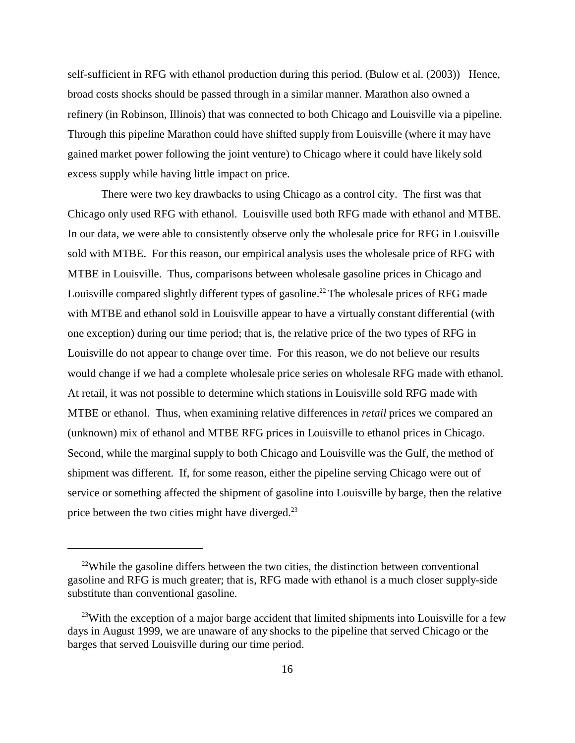self-sufficient in RFG with ethanol production during this period. (Bulow et al. (2003)) Hence, broad costs shocks should be passed through in a similar manner. Marathon also owned a refinery (in Robinson, Illinois) that was connected to both Chicago and Louisville via a pipeline. Through this pipeline Marathon could have shifted supply from Louisville (where it may have gained market power following the joint venture) to Chicago where it could have likely sold excess supply while having little impact on price.

There were two key drawbacks to using Chicago as a control city. The first was that Chicago only used RFG with ethanol. Louisville used both RFG made with ethanol and MTBE. In our data, we were able to consistently observe only the wholesale price for RFG in Louisville sold with MTBE. For this reason, our empirical analysis uses the wholesale price of RFG with MTBE in Louisville. Thus, comparisons between wholesale gasoline prices in Chicago and Louisville compared slightly different types of gasoline.<sup>22</sup> The wholesale prices of RFG made with MTBE and ethanol sold in Louisville appear to have a virtually constant differential (with one exception) during our time period; that is, the relative price of the two types of RFG in Louisville do not appear to change over time. For this reason, we do not believe our results would change if we had a complete wholesale price series on wholesale RFG made with ethanol. At retail, it was not possible to determine which stations in Louisville sold RFG made with MTBE or ethanol. Thus, when examining relative differences in *retail* prices we compared an (unknown) mix of ethanol and MTBE RFG prices in Louisville to ethanol prices in Chicago. Second, while the marginal supply to both Chicago and Louisville was the Gulf, the method of shipment was different. If, for some reason, either the pipeline serving Chicago were out of service or something affected the shipment of gasoline into Louisville by barge, then the relative price between the two cities might have diverged.<sup>23</sup>

 $22$ While the gasoline differs between the two cities, the distinction between conventional gasoline and RFG is much greater; that is, RFG made with ethanol is a much closer supply-side substitute than conventional gasoline.

<sup>&</sup>lt;sup>23</sup>With the exception of a major barge accident that limited shipments into Louisville for a few days in August 1999, we are unaware of any shocks to the pipeline that served Chicago or the barges that served Louisville during our time period.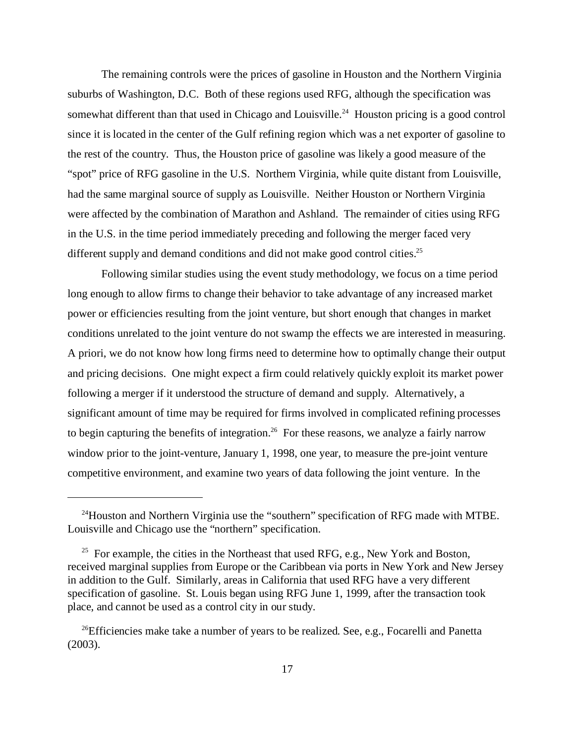The remaining controls were the prices of gasoline in Houston and the Northern Virginia suburbs of Washington, D.C. Both of these regions used RFG, although the specification was somewhat different than that used in Chicago and Louisville.<sup>24</sup> Houston pricing is a good control since it is located in the center of the Gulf refining region which was a net exporter of gasoline to the rest of the country. Thus, the Houston price of gasoline was likely a good measure of the "spot" price of RFG gasoline in the U.S. Northern Virginia, while quite distant from Louisville, had the same marginal source of supply as Louisville. Neither Houston or Northern Virginia were affected by the combination of Marathon and Ashland. The remainder of cities using RFG in the U.S. in the time period immediately preceding and following the merger faced very different supply and demand conditions and did not make good control cities.<sup>25</sup>

Following similar studies using the event study methodology, we focus on a time period long enough to allow firms to change their behavior to take advantage of any increased market power or efficiencies resulting from the joint venture, but short enough that changes in market conditions unrelated to the joint venture do not swamp the effects we are interested in measuring. A priori, we do not know how long firms need to determine how to optimally change their output and pricing decisions. One might expect a firm could relatively quickly exploit its market power following a merger if it understood the structure of demand and supply. Alternatively, a significant amount of time may be required for firms involved in complicated refining processes to begin capturing the benefits of integration.<sup>26</sup> For these reasons, we analyze a fairly narrow window prior to the joint-venture, January 1, 1998, one year, to measure the pre-joint venture competitive environment, and examine two years of data following the joint venture. In the

<sup>&</sup>lt;sup>24</sup>Houston and Northern Virginia use the "southern" specification of RFG made with MTBE. Louisville and Chicago use the "northern" specification.

<sup>&</sup>lt;sup>25</sup> For example, the cities in the Northeast that used RFG, e.g., New York and Boston, received marginal supplies from Europe or the Caribbean via ports in New York and New Jersey in addition to the Gulf. Similarly, areas in California that used RFG have a very different specification of gasoline. St. Louis began using RFG June 1, 1999, after the transaction took place, and cannot be used as a control city in our study.

<sup>&</sup>lt;sup>26</sup>Efficiencies make take a number of years to be realized. See, e.g., Focarelli and Panetta (2003).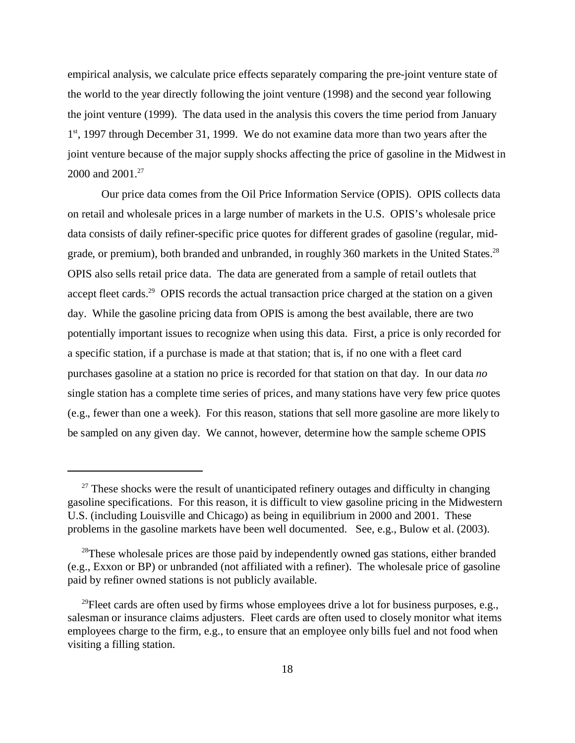empirical analysis, we calculate price effects separately comparing the pre-joint venture state of the world to the year directly following the joint venture (1998) and the second year following the joint venture (1999). The data used in the analysis this covers the time period from January 1<sup>st</sup>, 1997 through December 31, 1999. We do not examine data more than two years after the joint venture because of the major supply shocks affecting the price of gasoline in the Midwest in 2000 and 2001.<sup>27</sup>

Our price data comes from the Oil Price Information Service (OPIS). OPIS collects data on retail and wholesale prices in a large number of markets in the U.S. OPIS's wholesale price data consists of daily refiner-specific price quotes for different grades of gasoline (regular, midgrade, or premium), both branded and unbranded, in roughly 360 markets in the United States.<sup>28</sup> OPIS also sells retail price data. The data are generated from a sample of retail outlets that accept fleet cards.<sup>29</sup> OPIS records the actual transaction price charged at the station on a given day. While the gasoline pricing data from OPIS is among the best available, there are two potentially important issues to recognize when using this data. First, a price is only recorded for a specific station, if a purchase is made at that station; that is, if no one with a fleet card purchases gasoline at a station no price is recorded for that station on that day. In our data *no* single station has a complete time series of prices, and many stations have very few price quotes (e.g., fewer than one a week). For this reason, stations that sell more gasoline are more likely to be sampled on any given day. We cannot, however, determine how the sample scheme OPIS

 $27$  These shocks were the result of unanticipated refinery outages and difficulty in changing gasoline specifications. For this reason, it is difficult to view gasoline pricing in the Midwestern U.S. (including Louisville and Chicago) as being in equilibrium in 2000 and 2001. These problems in the gasoline markets have been well documented. See, e.g., Bulow et al. (2003).

 $28$ These wholesale prices are those paid by independently owned gas stations, either branded (e.g., Exxon or BP) or unbranded (not affiliated with a refiner). The wholesale price of gasoline paid by refiner owned stations is not publicly available.

<sup>&</sup>lt;sup>29</sup>Fleet cards are often used by firms whose employees drive a lot for business purposes, e.g., salesman or insurance claims adjusters. Fleet cards are often used to closely monitor what items employees charge to the firm, e.g., to ensure that an employee only bills fuel and not food when visiting a filling station.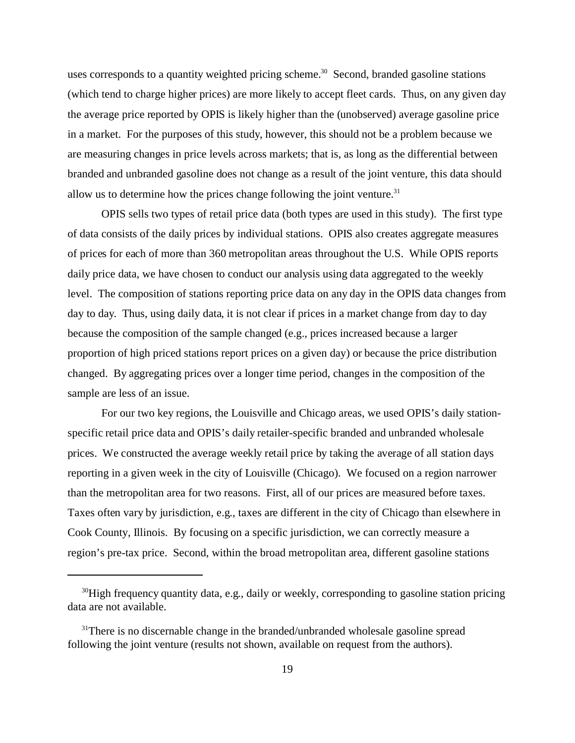uses corresponds to a quantity weighted pricing scheme.<sup>30</sup> Second, branded gasoline stations (which tend to charge higher prices) are more likely to accept fleet cards. Thus, on any given day the average price reported by OPIS is likely higher than the (unobserved) average gasoline price in a market. For the purposes of this study, however, this should not be a problem because we are measuring changes in price levels across markets; that is, as long as the differential between branded and unbranded gasoline does not change as a result of the joint venture, this data should allow us to determine how the prices change following the joint venture.<sup>31</sup>

OPIS sells two types of retail price data (both types are used in this study). The first type of data consists of the daily prices by individual stations. OPIS also creates aggregate measures of prices for each of more than 360 metropolitan areas throughout the U.S. While OPIS reports daily price data, we have chosen to conduct our analysis using data aggregated to the weekly level. The composition of stations reporting price data on any day in the OPIS data changes from day to day. Thus, using daily data, it is not clear if prices in a market change from day to day because the composition of the sample changed (e.g., prices increased because a larger proportion of high priced stations report prices on a given day) or because the price distribution changed. By aggregating prices over a longer time period, changes in the composition of the sample are less of an issue.

For our two key regions, the Louisville and Chicago areas, we used OPIS's daily stationspecific retail price data and OPIS's daily retailer-specific branded and unbranded wholesale prices. We constructed the average weekly retail price by taking the average of all station days reporting in a given week in the city of Louisville (Chicago). We focused on a region narrower than the metropolitan area for two reasons. First, all of our prices are measured before taxes. Taxes often vary by jurisdiction, e.g., taxes are different in the city of Chicago than elsewhere in Cook County, Illinois. By focusing on a specific jurisdiction, we can correctly measure a region's pre-tax price. Second, within the broad metropolitan area, different gasoline stations

<sup>&</sup>lt;sup>30</sup>High frequency quantity data, e.g., daily or weekly, corresponding to gasoline station pricing data are not available.

 $31$ There is no discernable change in the branded/unbranded wholesale gasoline spread following the joint venture (results not shown, available on request from the authors).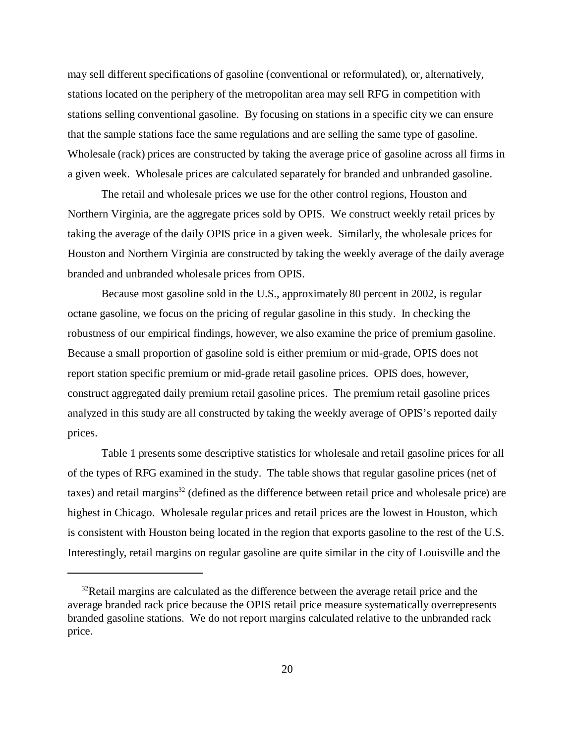may sell different specifications of gasoline (conventional or reformulated), or, alternatively, stations located on the periphery of the metropolitan area may sell RFG in competition with stations selling conventional gasoline. By focusing on stations in a specific city we can ensure that the sample stations face the same regulations and are selling the same type of gasoline. Wholesale (rack) prices are constructed by taking the average price of gasoline across all firms in a given week. Wholesale prices are calculated separately for branded and unbranded gasoline.

The retail and wholesale prices we use for the other control regions, Houston and Northern Virginia, are the aggregate prices sold by OPIS. We construct weekly retail prices by taking the average of the daily OPIS price in a given week. Similarly, the wholesale prices for Houston and Northern Virginia are constructed by taking the weekly average of the daily average branded and unbranded wholesale prices from OPIS.

Because most gasoline sold in the U.S., approximately 80 percent in 2002, is regular octane gasoline, we focus on the pricing of regular gasoline in this study. In checking the robustness of our empirical findings, however, we also examine the price of premium gasoline. Because a small proportion of gasoline sold is either premium or mid-grade, OPIS does not report station specific premium or mid-grade retail gasoline prices. OPIS does, however, construct aggregated daily premium retail gasoline prices. The premium retail gasoline prices analyzed in this study are all constructed by taking the weekly average of OPIS's reported daily prices.

Table 1 presents some descriptive statistics for wholesale and retail gasoline prices for all of the types of RFG examined in the study. The table shows that regular gasoline prices (net of taxes) and retail margins<sup>32</sup> (defined as the difference between retail price and wholesale price) are highest in Chicago. Wholesale regular prices and retail prices are the lowest in Houston, which is consistent with Houston being located in the region that exports gasoline to the rest of the U.S. Interestingly, retail margins on regular gasoline are quite similar in the city of Louisville and the

 $32$ Retail margins are calculated as the difference between the average retail price and the average branded rack price because the OPIS retail price measure systematically overrepresents branded gasoline stations. We do not report margins calculated relative to the unbranded rack price.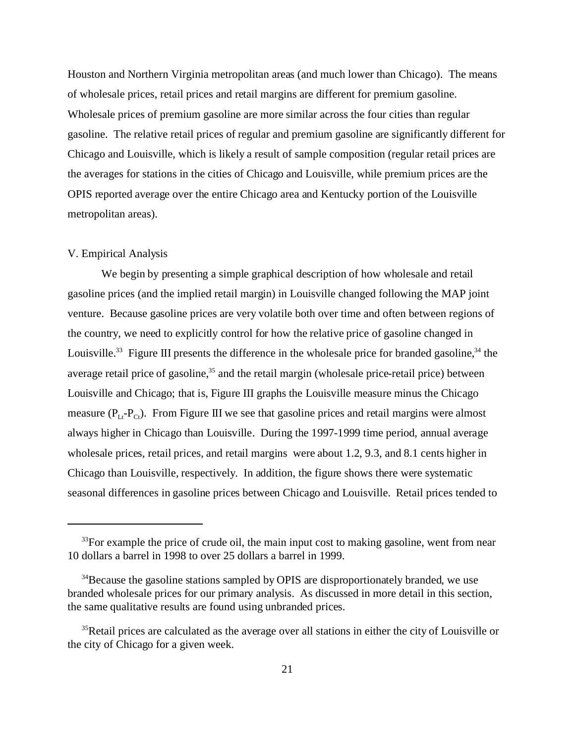Houston and Northern Virginia metropolitan areas (and much lower than Chicago). The means of wholesale prices, retail prices and retail margins are different for premium gasoline. Wholesale prices of premium gasoline are more similar across the four cities than regular gasoline. The relative retail prices of regular and premium gasoline are significantly different for Chicago and Louisville, which is likely a result of sample composition (regular retail prices are the averages for stations in the cities of Chicago and Louisville, while premium prices are the OPIS reported average over the entire Chicago area and Kentucky portion of the Louisville metropolitan areas).

#### V. Empirical Analysis

We begin by presenting a simple graphical description of how wholesale and retail gasoline prices (and the implied retail margin) in Louisville changed following the MAP joint venture. Because gasoline prices are very volatile both over time and often between regions of the country, we need to explicitly control for how the relative price of gasoline changed in Louisville.<sup>33</sup> Figure III presents the difference in the wholesale price for branded gasoline,<sup>34</sup> the average retail price of gasoline,<sup>35</sup> and the retail margin (wholesale price-retail price) between Louisville and Chicago; that is, Figure III graphs the Louisville measure minus the Chicago measure  $(P_{1,t}-P_{Ct})$ . From Figure III we see that gasoline prices and retail margins were almost always higher in Chicago than Louisville. During the 1997-1999 time period, annual average wholesale prices, retail prices, and retail margins were about 1.2, 9.3, and 8.1 cents higher in Chicago than Louisville, respectively. In addition, the figure shows there were systematic seasonal differences in gasoline prices between Chicago and Louisville. Retail prices tended to

 $33$ For example the price of crude oil, the main input cost to making gasoline, went from near 10 dollars a barrel in 1998 to over 25 dollars a barrel in 1999.

<sup>&</sup>lt;sup>34</sup>Because the gasoline stations sampled by OPIS are disproportionately branded, we use branded wholesale prices for our primary analysis. As discussed in more detail in this section, the same qualitative results are found using unbranded prices.

<sup>&</sup>lt;sup>35</sup>Retail prices are calculated as the average over all stations in either the city of Louisville or the city of Chicago for a given week.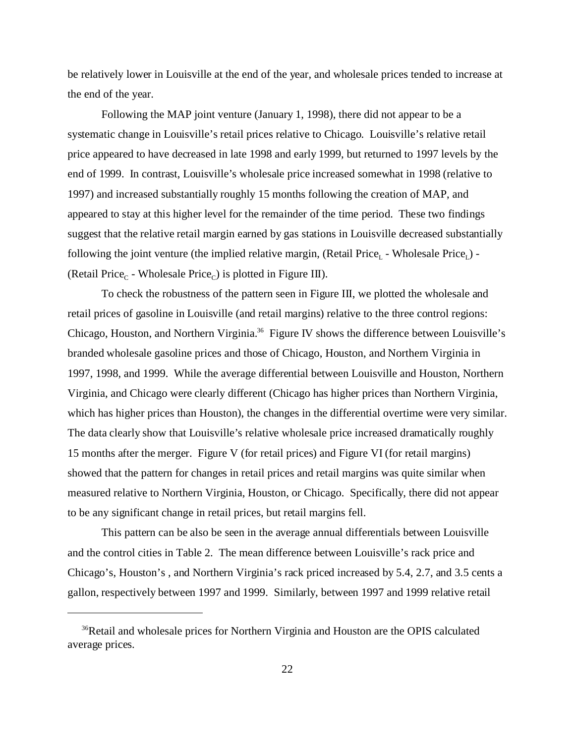be relatively lower in Louisville at the end of the year, and wholesale prices tended to increase at the end of the year.

Following the MAP joint venture (January 1, 1998), there did not appear to be a systematic change in Louisville's retail prices relative to Chicago. Louisville's relative retail price appeared to have decreased in late 1998 and early 1999, but returned to 1997 levels by the end of 1999. In contrast, Louisville's wholesale price increased somewhat in 1998 (relative to 1997) and increased substantially roughly 15 months following the creation of MAP, and appeared to stay at this higher level for the remainder of the time period. These two findings suggest that the relative retail margin earned by gas stations in Louisville decreased substantially following the joint venture (the implied relative margin, (Retail Price<sub>L</sub> - Wholesale Price<sub>L</sub>) -(Retail Price<sub>c</sub> - Wholesale Price<sub>c</sub>) is plotted in Figure III).

To check the robustness of the pattern seen in Figure III, we plotted the wholesale and retail prices of gasoline in Louisville (and retail margins) relative to the three control regions: Chicago, Houston, and Northern Virginia.<sup>36</sup> Figure IV shows the difference between Louisville's branded wholesale gasoline prices and those of Chicago, Houston, and Northern Virginia in 1997, 1998, and 1999. While the average differential between Louisville and Houston, Northern Virginia, and Chicago were clearly different (Chicago has higher prices than Northern Virginia, which has higher prices than Houston), the changes in the differential overtime were very similar. The data clearly show that Louisville's relative wholesale price increased dramatically roughly 15 months after the merger. Figure V (for retail prices) and Figure VI (for retail margins) showed that the pattern for changes in retail prices and retail margins was quite similar when measured relative to Northern Virginia, Houston, or Chicago. Specifically, there did not appear to be any significant change in retail prices, but retail margins fell.

This pattern can be also be seen in the average annual differentials between Louisville and the control cities in Table 2. The mean difference between Louisville's rack price and Chicago's, Houston's , and Northern Virginia's rack priced increased by 5.4, 2.7, and 3.5 cents a gallon, respectively between 1997 and 1999. Similarly, between 1997 and 1999 relative retail

<sup>&</sup>lt;sup>36</sup>Retail and wholesale prices for Northern Virginia and Houston are the OPIS calculated average prices.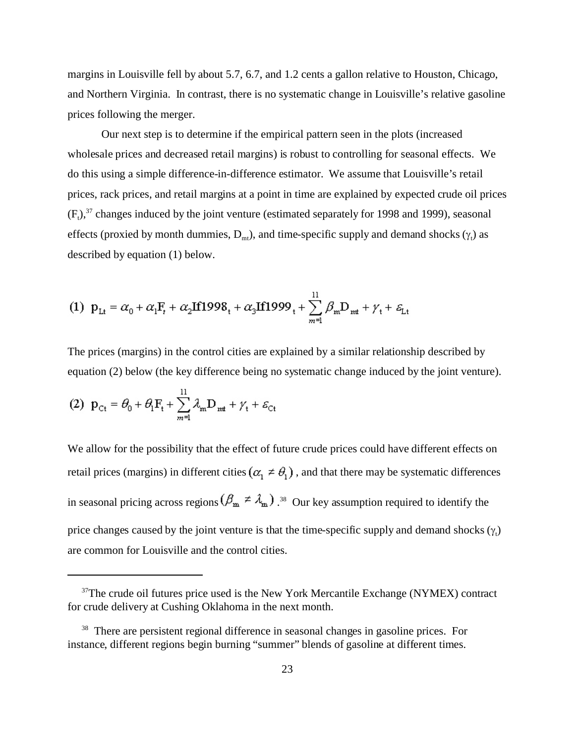margins in Louisville fell by about 5.7, 6.7, and 1.2 cents a gallon relative to Houston, Chicago, and Northern Virginia. In contrast, there is no systematic change in Louisville's relative gasoline prices following the merger.

Our next step is to determine if the empirical pattern seen in the plots (increased wholesale prices and decreased retail margins) is robust to controlling for seasonal effects. We do this using a simple difference-in-difference estimator. We assume that Louisville's retail prices, rack prices, and retail margins at a point in time are explained by expected crude oil prices  $(F<sub>t</sub>)$ ,<sup>37</sup> changes induced by the joint venture (estimated separately for 1998 and 1999), seasonal effects (proxied by month dummies,  $D_{mt}$ ), and time-specific supply and demand shocks ( $\theta$ ) as described by equation (1) below.

(1) 
$$
p_{Lt} = \alpha_0 + \alpha_1 F_t + \alpha_2 I f 1998_t + \alpha_3 I f 1999_t + \sum_{m=1}^{11} \beta_m D_{mt} + \gamma_t + \varepsilon_{Lt}
$$

The prices (margins) in the control cities are explained by a similar relationship described by equation (2) below (the key difference being no systematic change induced by the joint venture).

(2) 
$$
\mathbf{p}_{\text{C}t} = \theta_0 + \theta_1 \mathbf{F}_t + \sum_{m=1}^{H} \lambda_m \mathbf{D}_{mt} + \gamma_t + \varepsilon_{\text{C}t}
$$

We allow for the possibility that the effect of future crude prices could have different effects on retail prices (margins) in different cities  $(\alpha_1 \neq \theta_1)$ , and that there may be systematic differences in seasonal pricing across regions  $(\mathcal{P}_{m} \neq \mathcal{A}_{m})$  .<sup>38</sup> Our key assumption required to identify the price changes caused by the joint venture is that the time-specific supply and demand shocks  $( , )$ are common for Louisville and the control cities.

 $37$ The crude oil futures price used is the New York Mercantile Exchange (NYMEX) contract for crude delivery at Cushing Oklahoma in the next month.

<sup>&</sup>lt;sup>38</sup> There are persistent regional difference in seasonal changes in gasoline prices. For instance, different regions begin burning "summer" blends of gasoline at different times.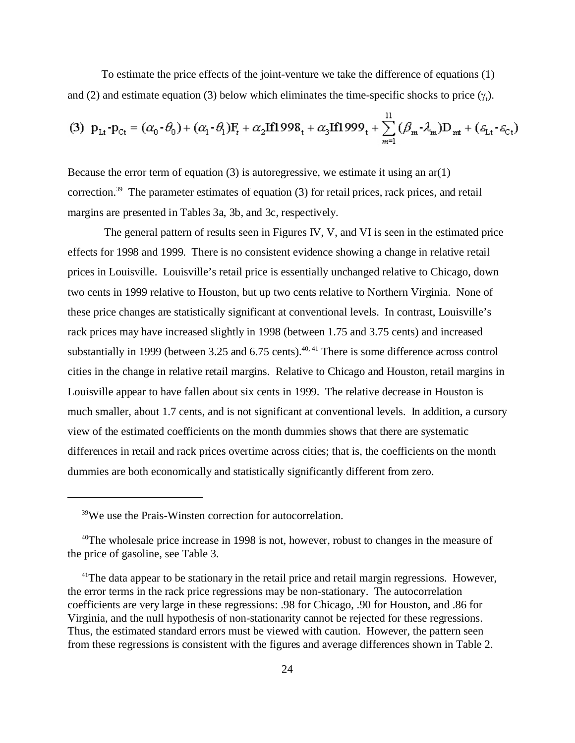To estimate the price effects of the joint-venture we take the difference of equations (1) and (2) and estimate equation (3) below which eliminates the time-specific shocks to price ( $\,$ ,).

(3) 
$$
p_{Lt} - p_{Ct} = (\alpha_0 - \theta_0) + (\alpha_1 - \theta_1)F_t + \alpha_2 H1998_t + \alpha_3 H1999_t + \sum_{m=1}^{11} (\beta_m - \lambda_m)D_{mt} + (\varepsilon_{Lt} - \varepsilon_{Ct})
$$

Because the error term of equation  $(3)$  is autoregressive, we estimate it using an ar(1) correction.<sup>39</sup> The parameter estimates of equation (3) for retail prices, rack prices, and retail margins are presented in Tables 3a, 3b, and 3c, respectively.

 The general pattern of results seen in Figures IV, V, and VI is seen in the estimated price effects for 1998 and 1999. There is no consistent evidence showing a change in relative retail prices in Louisville. Louisville's retail price is essentially unchanged relative to Chicago, down two cents in 1999 relative to Houston, but up two cents relative to Northern Virginia. None of these price changes are statistically significant at conventional levels. In contrast, Louisville's rack prices may have increased slightly in 1998 (between 1.75 and 3.75 cents) and increased substantially in 1999 (between 3.25 and 6.75 cents).<sup> $40, 41$ </sup> There is some difference across control cities in the change in relative retail margins. Relative to Chicago and Houston, retail margins in Louisville appear to have fallen about six cents in 1999. The relative decrease in Houston is much smaller, about 1.7 cents, and is not significant at conventional levels. In addition, a cursory view of the estimated coefficients on the month dummies shows that there are systematic differences in retail and rack prices overtime across cities; that is, the coefficients on the month dummies are both economically and statistically significantly different from zero.

<sup>&</sup>lt;sup>39</sup>We use the Prais-Winsten correction for autocorrelation.

<sup>&</sup>lt;sup>40</sup>The wholesale price increase in 1998 is not, however, robust to changes in the measure of the price of gasoline, see Table 3.

 $41$ The data appear to be stationary in the retail price and retail margin regressions. However, the error terms in the rack price regressions may be non-stationary. The autocorrelation coefficients are very large in these regressions: .98 for Chicago, .90 for Houston, and .86 for Virginia, and the null hypothesis of non-stationarity cannot be rejected for these regressions. Thus, the estimated standard errors must be viewed with caution. However, the pattern seen from these regressions is consistent with the figures and average differences shown in Table 2.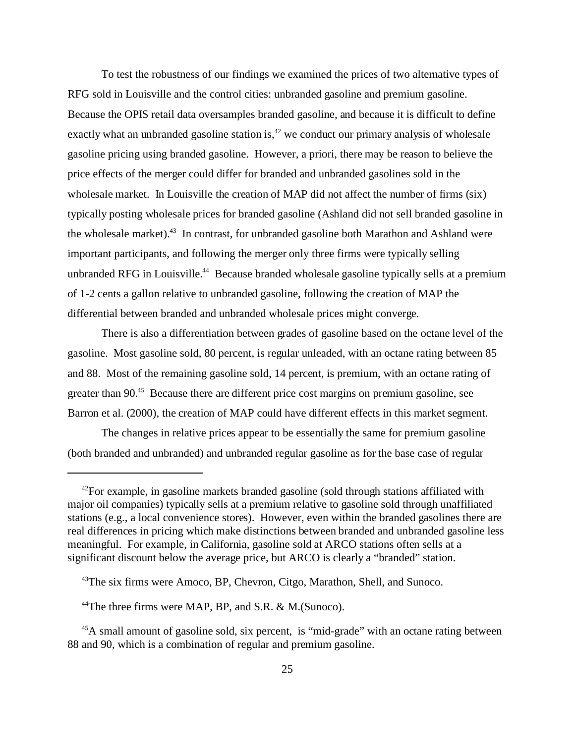To test the robustness of our findings we examined the prices of two alternative types of RFG sold in Louisville and the control cities: unbranded gasoline and premium gasoline. Because the OPIS retail data oversamples branded gasoline, and because it is difficult to define exactly what an unbranded gasoline station is,<sup> $42$ </sup> we conduct our primary analysis of wholesale gasoline pricing using branded gasoline. However, a priori, there may be reason to believe the price effects of the merger could differ for branded and unbranded gasolines sold in the wholesale market. In Louisville the creation of MAP did not affect the number of firms (six) typically posting wholesale prices for branded gasoline (Ashland did not sell branded gasoline in the wholesale market).<sup>43</sup> In contrast, for unbranded gasoline both Marathon and Ashland were important participants, and following the merger only three firms were typically selling unbranded RFG in Louisville.<sup>44</sup> Because branded wholesale gasoline typically sells at a premium of 1-2 cents a gallon relative to unbranded gasoline, following the creation of MAP the differential between branded and unbranded wholesale prices might converge.

There is also a differentiation between grades of gasoline based on the octane level of the gasoline. Most gasoline sold, 80 percent, is regular unleaded, with an octane rating between 85 and 88. Most of the remaining gasoline sold, 14 percent, is premium, with an octane rating of greater than 90.<sup>45</sup> Because there are different price cost margins on premium gasoline, see Barron et al. (2000), the creation of MAP could have different effects in this market segment.

The changes in relative prices appear to be essentially the same for premium gasoline (both branded and unbranded) and unbranded regular gasoline as for the base case of regular

 $42$ For example, in gasoline markets branded gasoline (sold through stations affiliated with major oil companies) typically sells at a premium relative to gasoline sold through unaffiliated stations (e.g., a local convenience stores). However, even within the branded gasolines there are real differences in pricing which make distinctions between branded and unbranded gasoline less meaningful. For example, in California, gasoline sold at ARCO stations often sells at a significant discount below the average price, but ARCO is clearly a "branded" station.

<sup>&</sup>lt;sup>43</sup>The six firms were Amoco, BP, Chevron, Citgo, Marathon, Shell, and Sunoco.

<sup>&</sup>lt;sup>44</sup>The three firms were MAP, BP, and S.R.  $\&$  M. (Sunoco).

<sup>&</sup>lt;sup>45</sup>A small amount of gasoline sold, six percent, is "mid-grade" with an octane rating between 88 and 90, which is a combination of regular and premium gasoline.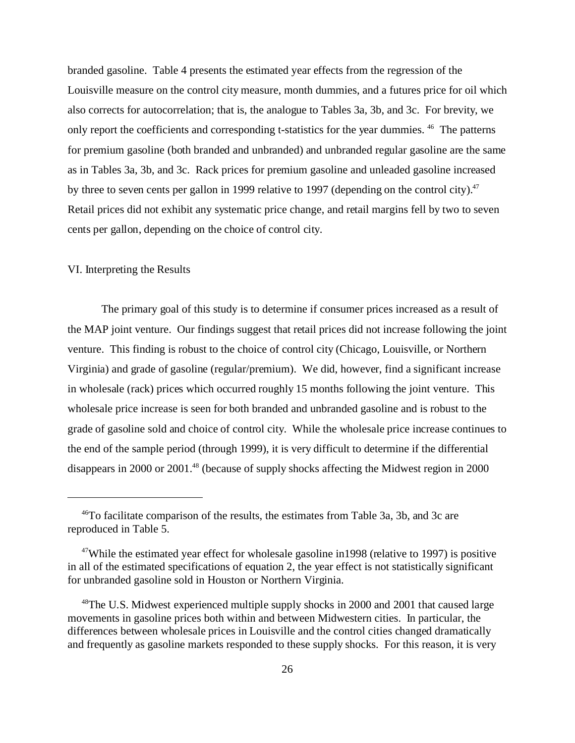branded gasoline. Table 4 presents the estimated year effects from the regression of the Louisville measure on the control city measure, month dummies, and a futures price for oil which also corrects for autocorrelation; that is, the analogue to Tables 3a, 3b, and 3c. For brevity, we only report the coefficients and corresponding t-statistics for the year dummies. <sup>46</sup> The patterns for premium gasoline (both branded and unbranded) and unbranded regular gasoline are the same as in Tables 3a, 3b, and 3c. Rack prices for premium gasoline and unleaded gasoline increased by three to seven cents per gallon in 1999 relative to 1997 (depending on the control city).<sup>47</sup> Retail prices did not exhibit any systematic price change, and retail margins fell by two to seven cents per gallon, depending on the choice of control city.

### VI. Interpreting the Results

The primary goal of this study is to determine if consumer prices increased as a result of the MAP joint venture. Our findings suggest that retail prices did not increase following the joint venture. This finding is robust to the choice of control city (Chicago, Louisville, or Northern Virginia) and grade of gasoline (regular/premium). We did, however, find a significant increase in wholesale (rack) prices which occurred roughly 15 months following the joint venture. This wholesale price increase is seen for both branded and unbranded gasoline and is robust to the grade of gasoline sold and choice of control city. While the wholesale price increase continues to the end of the sample period (through 1999), it is very difficult to determine if the differential disappears in 2000 or 2001.<sup>48</sup> (because of supply shocks affecting the Midwest region in 2000

<sup>46</sup>To facilitate comparison of the results, the estimates from Table 3a, 3b, and 3c are reproduced in Table 5.

<sup>&</sup>lt;sup>47</sup>While the estimated year effect for wholesale gasoline in 1998 (relative to 1997) is positive in all of the estimated specifications of equation 2, the year effect is not statistically significant for unbranded gasoline sold in Houston or Northern Virginia.

<sup>&</sup>lt;sup>48</sup>The U.S. Midwest experienced multiple supply shocks in 2000 and 2001 that caused large movements in gasoline prices both within and between Midwestern cities. In particular, the differences between wholesale prices in Louisville and the control cities changed dramatically and frequently as gasoline markets responded to these supply shocks. For this reason, it is very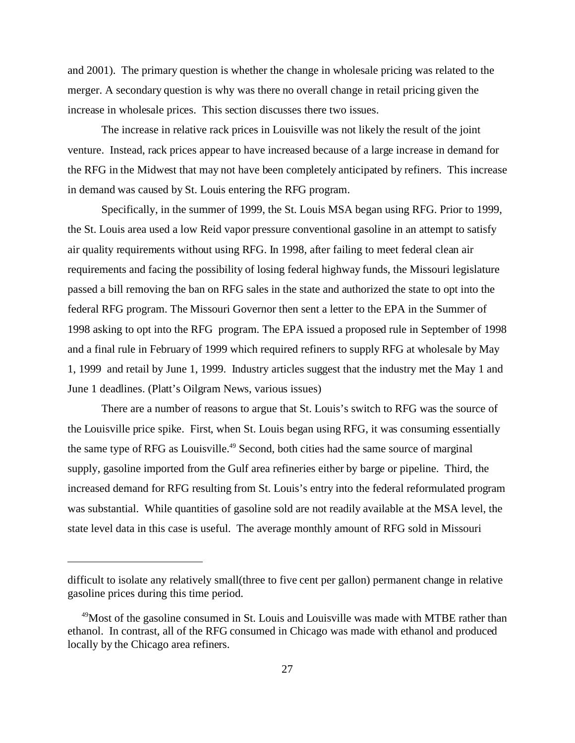and 2001). The primary question is whether the change in wholesale pricing was related to the merger. A secondary question is why was there no overall change in retail pricing given the increase in wholesale prices. This section discusses there two issues.

The increase in relative rack prices in Louisville was not likely the result of the joint venture. Instead, rack prices appear to have increased because of a large increase in demand for the RFG in the Midwest that may not have been completely anticipated by refiners. This increase in demand was caused by St. Louis entering the RFG program.

Specifically, in the summer of 1999, the St. Louis MSA began using RFG. Prior to 1999, the St. Louis area used a low Reid vapor pressure conventional gasoline in an attempt to satisfy air quality requirements without using RFG. In 1998, after failing to meet federal clean air requirements and facing the possibility of losing federal highway funds, the Missouri legislature passed a bill removing the ban on RFG sales in the state and authorized the state to opt into the federal RFG program. The Missouri Governor then sent a letter to the EPA in the Summer of 1998 asking to opt into the RFG program. The EPA issued a proposed rule in September of 1998 and a final rule in February of 1999 which required refiners to supply RFG at wholesale by May 1, 1999 and retail by June 1, 1999. Industry articles suggest that the industry met the May 1 and June 1 deadlines. (Platt's Oilgram News, various issues)

There are a number of reasons to argue that St. Louis's switch to RFG was the source of the Louisville price spike. First, when St. Louis began using RFG, it was consuming essentially the same type of RFG as Louisville.<sup>49</sup> Second, both cities had the same source of marginal supply, gasoline imported from the Gulf area refineries either by barge or pipeline. Third, the increased demand for RFG resulting from St. Louis's entry into the federal reformulated program was substantial. While quantities of gasoline sold are not readily available at the MSA level, the state level data in this case is useful. The average monthly amount of RFG sold in Missouri

difficult to isolate any relatively small(three to five cent per gallon) permanent change in relative gasoline prices during this time period.

<sup>&</sup>lt;sup>49</sup>Most of the gasoline consumed in St. Louis and Louisville was made with MTBE rather than ethanol. In contrast, all of the RFG consumed in Chicago was made with ethanol and produced locally by the Chicago area refiners.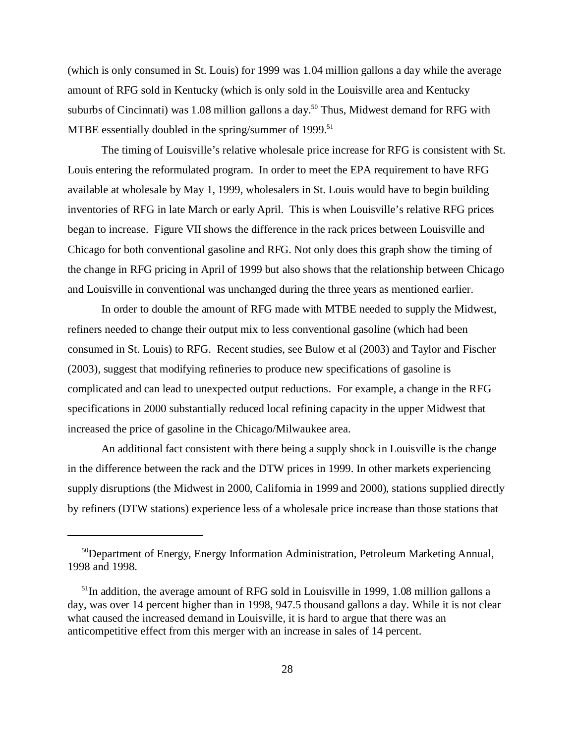(which is only consumed in St. Louis) for 1999 was 1.04 million gallons a day while the average amount of RFG sold in Kentucky (which is only sold in the Louisville area and Kentucky suburbs of Cincinnati) was 1.08 million gallons a day.<sup>50</sup> Thus, Midwest demand for RFG with MTBE essentially doubled in the spring/summer of  $1999$ <sup>51</sup>

The timing of Louisville's relative wholesale price increase for RFG is consistent with St. Louis entering the reformulated program. In order to meet the EPA requirement to have RFG available at wholesale by May 1, 1999, wholesalers in St. Louis would have to begin building inventories of RFG in late March or early April. This is when Louisville's relative RFG prices began to increase. Figure VII shows the difference in the rack prices between Louisville and Chicago for both conventional gasoline and RFG. Not only does this graph show the timing of the change in RFG pricing in April of 1999 but also shows that the relationship between Chicago and Louisville in conventional was unchanged during the three years as mentioned earlier.

In order to double the amount of RFG made with MTBE needed to supply the Midwest, refiners needed to change their output mix to less conventional gasoline (which had been consumed in St. Louis) to RFG. Recent studies, see Bulow et al (2003) and Taylor and Fischer (2003), suggest that modifying refineries to produce new specifications of gasoline is complicated and can lead to unexpected output reductions. For example, a change in the RFG specifications in 2000 substantially reduced local refining capacity in the upper Midwest that increased the price of gasoline in the Chicago/Milwaukee area.

An additional fact consistent with there being a supply shock in Louisville is the change in the difference between the rack and the DTW prices in 1999. In other markets experiencing supply disruptions (the Midwest in 2000, California in 1999 and 2000), stations supplied directly by refiners (DTW stations) experience less of a wholesale price increase than those stations that

<sup>50</sup>Department of Energy, Energy Information Administration, Petroleum Marketing Annual, 1998 and 1998.

 $51$ In addition, the average amount of RFG sold in Louisville in 1999, 1.08 million gallons a day, was over 14 percent higher than in 1998, 947.5 thousand gallons a day. While it is not clear what caused the increased demand in Louisville, it is hard to argue that there was an anticompetitive effect from this merger with an increase in sales of 14 percent.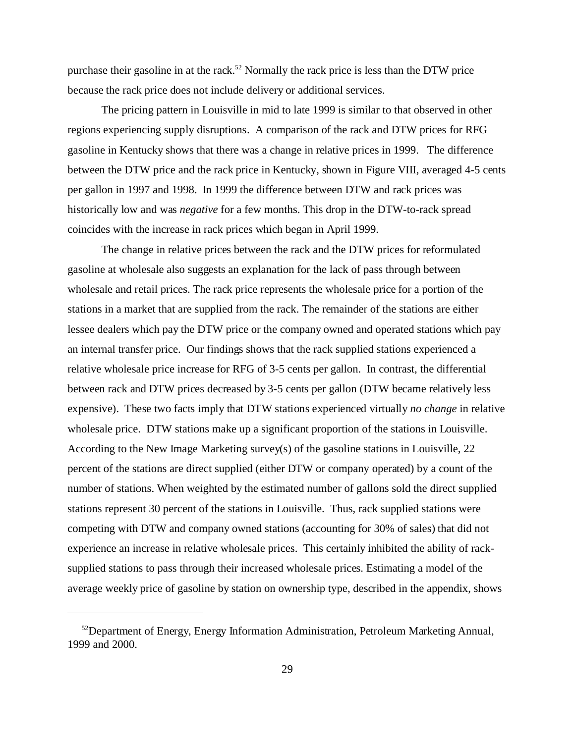purchase their gasoline in at the rack.<sup>52</sup> Normally the rack price is less than the DTW price because the rack price does not include delivery or additional services.

The pricing pattern in Louisville in mid to late 1999 is similar to that observed in other regions experiencing supply disruptions. A comparison of the rack and DTW prices for RFG gasoline in Kentucky shows that there was a change in relative prices in 1999. The difference between the DTW price and the rack price in Kentucky, shown in Figure VIII, averaged 4-5 cents per gallon in 1997 and 1998. In 1999 the difference between DTW and rack prices was historically low and was *negative* for a few months. This drop in the DTW-to-rack spread coincides with the increase in rack prices which began in April 1999.

The change in relative prices between the rack and the DTW prices for reformulated gasoline at wholesale also suggests an explanation for the lack of pass through between wholesale and retail prices. The rack price represents the wholesale price for a portion of the stations in a market that are supplied from the rack. The remainder of the stations are either lessee dealers which pay the DTW price or the company owned and operated stations which pay an internal transfer price. Our findings shows that the rack supplied stations experienced a relative wholesale price increase for RFG of 3-5 cents per gallon. In contrast, the differential between rack and DTW prices decreased by 3-5 cents per gallon (DTW became relatively less expensive). These two facts imply that DTW stations experienced virtually *no change* in relative wholesale price. DTW stations make up a significant proportion of the stations in Louisville. According to the New Image Marketing survey(s) of the gasoline stations in Louisville, 22 percent of the stations are direct supplied (either DTW or company operated) by a count of the number of stations. When weighted by the estimated number of gallons sold the direct supplied stations represent 30 percent of the stations in Louisville. Thus, rack supplied stations were competing with DTW and company owned stations (accounting for 30% of sales) that did not experience an increase in relative wholesale prices. This certainly inhibited the ability of racksupplied stations to pass through their increased wholesale prices. Estimating a model of the average weekly price of gasoline by station on ownership type, described in the appendix, shows

 $52$ Department of Energy, Energy Information Administration, Petroleum Marketing Annual, 1999 and 2000.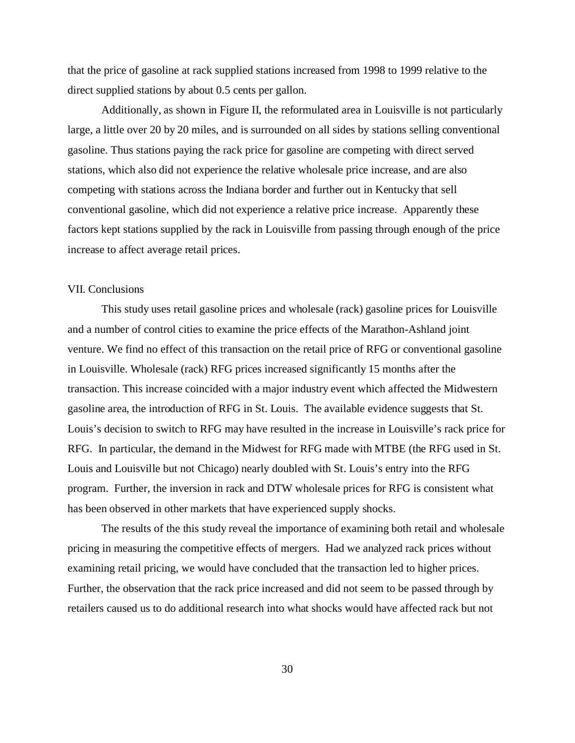that the price of gasoline at rack supplied stations increased from 1998 to 1999 relative to the direct supplied stations by about 0.5 cents per gallon.

Additionally, as shown in Figure II, the reformulated area in Louisville is not particularly large, a little over 20 by 20 miles, and is surrounded on all sides by stations selling conventional gasoline. Thus stations paying the rack price for gasoline are competing with direct served stations, which also did not experience the relative wholesale price increase, and are also competing with stations across the Indiana border and further out in Kentucky that sell conventional gasoline, which did not experience a relative price increase. Apparently these factors kept stations supplied by the rack in Louisville from passing through enough of the price increase to affect average retail prices.

#### VII. Conclusions

This study uses retail gasoline prices and wholesale (rack) gasoline prices for Louisville and a number of control cities to examine the price effects of the Marathon-Ashland joint venture. We find no effect of this transaction on the retail price of RFG or conventional gasoline in Louisville. Wholesale (rack) RFG prices increased significantly 15 months after the transaction. This increase coincided with a major industry event which affected the Midwestern gasoline area, the introduction of RFG in St. Louis. The available evidence suggests that St. Louis's decision to switch to RFG may have resulted in the increase in Louisville's rack price for RFG. In particular, the demand in the Midwest for RFG made with MTBE (the RFG used in St. Louis and Louisville but not Chicago) nearly doubled with St. Louis's entry into the RFG program. Further, the inversion in rack and DTW wholesale prices for RFG is consistent what has been observed in other markets that have experienced supply shocks.

The results of the this study reveal the importance of examining both retail and wholesale pricing in measuring the competitive effects of mergers. Had we analyzed rack prices without examining retail pricing, we would have concluded that the transaction led to higher prices. Further, the observation that the rack price increased and did not seem to be passed through by retailers caused us to do additional research into what shocks would have affected rack but not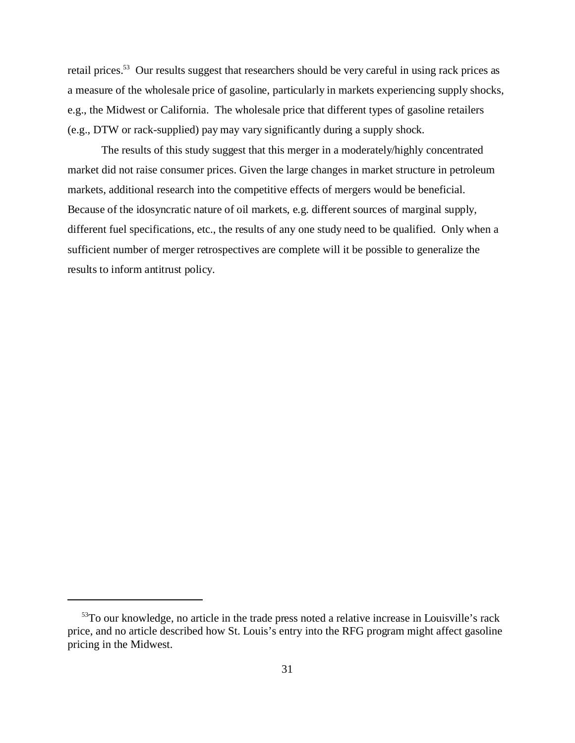retail prices.<sup>53</sup> Our results suggest that researchers should be very careful in using rack prices as a measure of the wholesale price of gasoline, particularly in markets experiencing supply shocks, e.g., the Midwest or California. The wholesale price that different types of gasoline retailers (e.g., DTW or rack-supplied) pay may vary significantly during a supply shock.

The results of this study suggest that this merger in a moderately/highly concentrated market did not raise consumer prices. Given the large changes in market structure in petroleum markets, additional research into the competitive effects of mergers would be beneficial. Because of the idosyncratic nature of oil markets, e.g. different sources of marginal supply, different fuel specifications, etc., the results of any one study need to be qualified. Only when a sufficient number of merger retrospectives are complete will it be possible to generalize the results to inform antitrust policy.

<sup>53</sup>To our knowledge, no article in the trade press noted a relative increase in Louisville's rack price, and no article described how St. Louis's entry into the RFG program might affect gasoline pricing in the Midwest.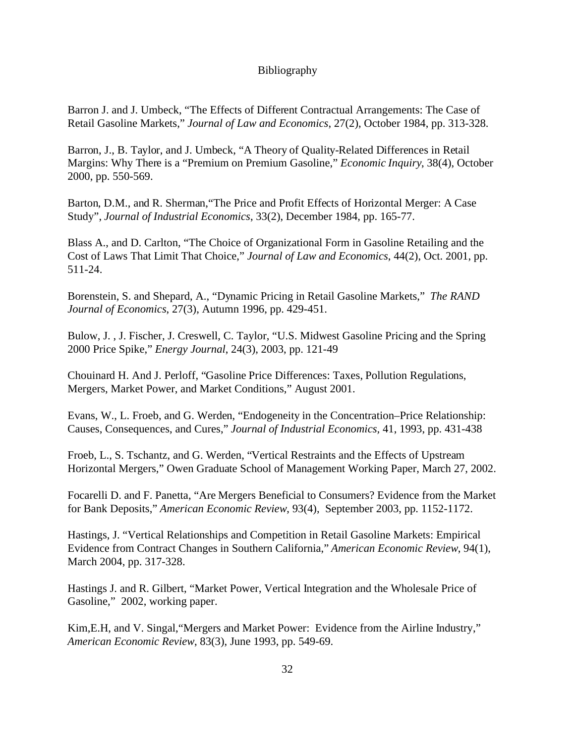### Bibliography

Barron J. and J. Umbeck, "The Effects of Different Contractual Arrangements: The Case of Retail Gasoline Markets," *Journal of Law and Economics*, 27(2), October 1984, pp. 313-328.

Barron, J., B. Taylor, and J. Umbeck, "A Theory of Quality-Related Differences in Retail Margins: Why There is a "Premium on Premium Gasoline," *Economic Inquiry*, 38(4), October 2000, pp. 550-569.

Barton, D.M., and R. Sherman,"The Price and Profit Effects of Horizontal Merger: A Case Study", *Journal of Industrial Economics*, 33(2), December 1984, pp. 165-77.

Blass A., and D. Carlton, "The Choice of Organizational Form in Gasoline Retailing and the Cost of Laws That Limit That Choice," *Journal of Law and Economics*, 44(2), Oct. 2001, pp. 511-24.

Borenstein, S. and Shepard, A., "Dynamic Pricing in Retail Gasoline Markets," *The RAND Journal of Economics*, 27(3), Autumn 1996, pp. 429-451.

Bulow, J. , J. Fischer, J. Creswell, C. Taylor, "U.S. Midwest Gasoline Pricing and the Spring 2000 Price Spike," *Energy Journal*, 24(3), 2003, pp. 121-49

Chouinard H. And J. Perloff, "Gasoline Price Differences: Taxes, Pollution Regulations, Mergers, Market Power, and Market Conditions," August 2001.

Evans, W., L. Froeb, and G. Werden, "Endogeneity in the Concentration–Price Relationship: Causes, Consequences, and Cures," *Journal of Industrial Economics,* 41, 1993, pp. 431-438

Froeb, L., S. Tschantz, and G. Werden, "Vertical Restraints and the Effects of Upstream Horizontal Mergers," Owen Graduate School of Management Working Paper, March 27, 2002.

Focarelli D. and F. Panetta, "Are Mergers Beneficial to Consumers? Evidence from the Market for Bank Deposits," *American Economic Review*, 93(4), September 2003, pp. 1152-1172.

Hastings, J. "Vertical Relationships and Competition in Retail Gasoline Markets: Empirical Evidence from Contract Changes in Southern California," *American Economic Review*, 94(1), March 2004, pp. 317-328.

Hastings J. and R. Gilbert, "Market Power, Vertical Integration and the Wholesale Price of Gasoline," 2002, working paper.

Kim,E.H, and V. Singal,"Mergers and Market Power: Evidence from the Airline Industry," *American Economic Review*, 83(3), June 1993, pp. 549-69.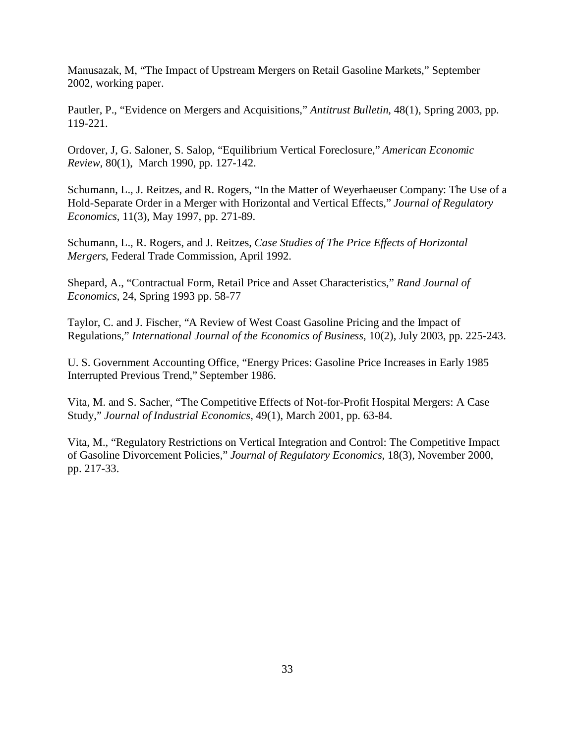Manusazak, M, "The Impact of Upstream Mergers on Retail Gasoline Markets," September 2002, working paper.

Pautler, P., "Evidence on Mergers and Acquisitions," *Antitrust Bulletin*, 48(1), Spring 2003, pp. 119-221.

Ordover, J, G. Saloner, S. Salop, "Equilibrium Vertical Foreclosure," *American Economic Review*, 80(1), March 1990, pp. 127-142.

Schumann, L., J. Reitzes, and R. Rogers, "In the Matter of Weyerhaeuser Company: The Use of a Hold-Separate Order in a Merger with Horizontal and Vertical Effects," *Journal of Regulatory Economics*, 11(3), May 1997, pp. 271-89.

Schumann, L., R. Rogers, and J. Reitzes, *Case Studies of The Price Effects of Horizontal Mergers*, Federal Trade Commission, April 1992.

Shepard, A., "Contractual Form, Retail Price and Asset Characteristics," *Rand Journal of Economics*, 24, Spring 1993 pp. 58-77

Taylor, C. and J. Fischer, "A Review of West Coast Gasoline Pricing and the Impact of Regulations," *International Journal of the Economics of Business*, 10(2), July 2003, pp. 225-243.

U. S. Government Accounting Office, "Energy Prices: Gasoline Price Increases in Early 1985 Interrupted Previous Trend," September 1986.

Vita, M. and S. Sacher, "The Competitive Effects of Not-for-Profit Hospital Mergers: A Case Study," *Journal of Industrial Economics,* 49(1), March 2001, pp. 63-84.

Vita, M., "Regulatory Restrictions on Vertical Integration and Control: The Competitive Impact of Gasoline Divorcement Policies," *Journal of Regulatory Economics*, 18(3), November 2000, pp. 217-33.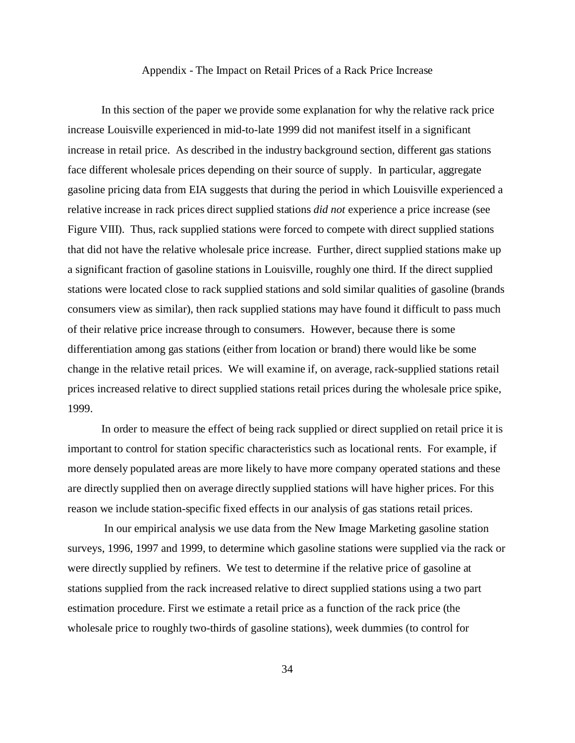#### Appendix - The Impact on Retail Prices of a Rack Price Increase

In this section of the paper we provide some explanation for why the relative rack price increase Louisville experienced in mid-to-late 1999 did not manifest itself in a significant increase in retail price. As described in the industry background section, different gas stations face different wholesale prices depending on their source of supply. In particular, aggregate gasoline pricing data from EIA suggests that during the period in which Louisville experienced a relative increase in rack prices direct supplied stations *did not* experience a price increase (see Figure VIII). Thus, rack supplied stations were forced to compete with direct supplied stations that did not have the relative wholesale price increase. Further, direct supplied stations make up a significant fraction of gasoline stations in Louisville, roughly one third. If the direct supplied stations were located close to rack supplied stations and sold similar qualities of gasoline (brands consumers view as similar), then rack supplied stations may have found it difficult to pass much of their relative price increase through to consumers. However, because there is some differentiation among gas stations (either from location or brand) there would like be some change in the relative retail prices. We will examine if, on average, rack-supplied stations retail prices increased relative to direct supplied stations retail prices during the wholesale price spike, 1999.

In order to measure the effect of being rack supplied or direct supplied on retail price it is important to control for station specific characteristics such as locational rents. For example, if more densely populated areas are more likely to have more company operated stations and these are directly supplied then on average directly supplied stations will have higher prices. For this reason we include station-specific fixed effects in our analysis of gas stations retail prices.

 In our empirical analysis we use data from the New Image Marketing gasoline station surveys, 1996, 1997 and 1999, to determine which gasoline stations were supplied via the rack or were directly supplied by refiners. We test to determine if the relative price of gasoline at stations supplied from the rack increased relative to direct supplied stations using a two part estimation procedure. First we estimate a retail price as a function of the rack price (the wholesale price to roughly two-thirds of gasoline stations), week dummies (to control for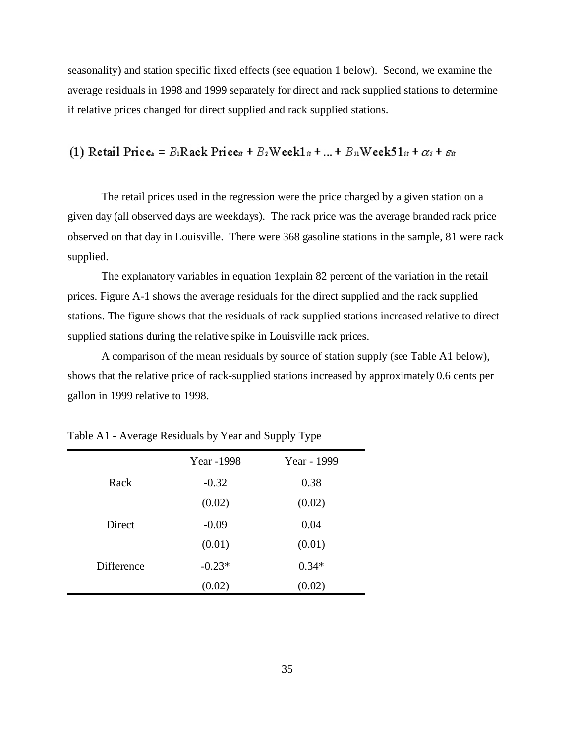seasonality) and station specific fixed effects (see equation 1 below). Second, we examine the average residuals in 1998 and 1999 separately for direct and rack supplied stations to determine if relative prices changed for direct supplied and rack supplied stations.

## (1) Retail Price. =  $B_1$ Rack Price. +  $B_2$ Weekl  $x + ... + B_n$ Week5l $x + \alpha_i + \varepsilon_n$

The retail prices used in the regression were the price charged by a given station on a given day (all observed days are weekdays). The rack price was the average branded rack price observed on that day in Louisville. There were 368 gasoline stations in the sample, 81 were rack supplied.

The explanatory variables in equation 1explain 82 percent of the variation in the retail prices. Figure A-1 shows the average residuals for the direct supplied and the rack supplied stations. The figure shows that the residuals of rack supplied stations increased relative to direct supplied stations during the relative spike in Louisville rack prices.

A comparison of the mean residuals by source of station supply (see Table A1 below), shows that the relative price of rack-supplied stations increased by approximately 0.6 cents per gallon in 1999 relative to 1998.

|            | Year -1998 | Year - 1999 |
|------------|------------|-------------|
| Rack       | $-0.32$    | 0.38        |
|            | (0.02)     | (0.02)      |
| Direct     | $-0.09$    | 0.04        |
|            | (0.01)     | (0.01)      |
| Difference | $-0.23*$   | $0.34*$     |
|            | (0.02)     | (0.02)      |

Table A1 - Average Residuals by Year and Supply Type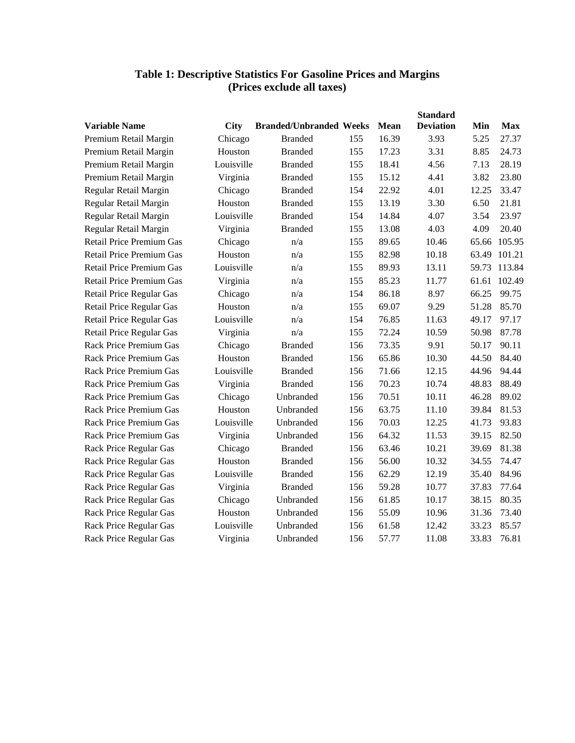| <b>Table 1: Descriptive Statistics For Gasoline Prices and Margins</b> |
|------------------------------------------------------------------------|
| (Prices exclude all taxes)                                             |

|                                 |             |                                |     |       | <b>Standard</b>  |       |            |
|---------------------------------|-------------|--------------------------------|-----|-------|------------------|-------|------------|
| <b>Variable Name</b>            | <b>City</b> | <b>Branded/Unbranded Weeks</b> |     | Mean  | <b>Deviation</b> | Min   | <b>Max</b> |
| Premium Retail Margin           | Chicago     | <b>Branded</b>                 | 155 | 16.39 | 3.93             | 5.25  | 27.37      |
| Premium Retail Margin           | Houston     | <b>Branded</b>                 | 155 | 17.23 | 3.31             | 8.85  | 24.73      |
| Premium Retail Margin           | Louisville  | <b>Branded</b>                 | 155 | 18.41 | 4.56             | 7.13  | 28.19      |
| Premium Retail Margin           | Virginia    | <b>Branded</b>                 | 155 | 15.12 | 4.41             | 3.82  | 23.80      |
| Regular Retail Margin           | Chicago     | <b>Branded</b>                 | 154 | 22.92 | 4.01             | 12.25 | 33.47      |
| Regular Retail Margin           | Houston     | <b>Branded</b>                 | 155 | 13.19 | 3.30             | 6.50  | 21.81      |
| Regular Retail Margin           | Louisville  | <b>Branded</b>                 | 154 | 14.84 | 4.07             | 3.54  | 23.97      |
| Regular Retail Margin           | Virginia    | <b>Branded</b>                 | 155 | 13.08 | 4.03             | 4.09  | 20.40      |
| <b>Retail Price Premium Gas</b> | Chicago     | n/a                            | 155 | 89.65 | 10.46            | 65.66 | 105.95     |
| <b>Retail Price Premium Gas</b> | Houston     | n/a                            | 155 | 82.98 | 10.18            | 63.49 | 101.21     |
| <b>Retail Price Premium Gas</b> | Louisville  | n/a                            | 155 | 89.93 | 13.11            | 59.73 | 113.84     |
| Retail Price Premium Gas        | Virginia    | n/a                            | 155 | 85.23 | 11.77            | 61.61 | 102.49     |
| Retail Price Regular Gas        | Chicago     | n/a                            | 154 | 86.18 | 8.97             | 66.25 | 99.75      |
| <b>Retail Price Regular Gas</b> | Houston     | n/a                            | 155 | 69.07 | 9.29             | 51.28 | 85.70      |
| Retail Price Regular Gas        | Louisville  | n/a                            | 154 | 76.85 | 11.63            | 49.17 | 97.17      |
| <b>Retail Price Regular Gas</b> | Virginia    | n/a                            | 155 | 72.24 | 10.59            | 50.98 | 87.78      |
| <b>Rack Price Premium Gas</b>   | Chicago     | <b>Branded</b>                 | 156 | 73.35 | 9.91             | 50.17 | 90.11      |
| <b>Rack Price Premium Gas</b>   | Houston     | <b>Branded</b>                 | 156 | 65.86 | 10.30            | 44.50 | 84.40      |
| <b>Rack Price Premium Gas</b>   | Louisville  | <b>Branded</b>                 | 156 | 71.66 | 12.15            | 44.96 | 94.44      |
| <b>Rack Price Premium Gas</b>   | Virginia    | <b>Branded</b>                 | 156 | 70.23 | 10.74            | 48.83 | 88.49      |
| <b>Rack Price Premium Gas</b>   | Chicago     | Unbranded                      | 156 | 70.51 | 10.11            | 46.28 | 89.02      |
| <b>Rack Price Premium Gas</b>   | Houston     | Unbranded                      | 156 | 63.75 | 11.10            | 39.84 | 81.53      |
| <b>Rack Price Premium Gas</b>   | Louisville  | Unbranded                      | 156 | 70.03 | 12.25            | 41.73 | 93.83      |
| <b>Rack Price Premium Gas</b>   | Virginia    | Unbranded                      | 156 | 64.32 | 11.53            | 39.15 | 82.50      |
| Rack Price Regular Gas          | Chicago     | <b>Branded</b>                 | 156 | 63.46 | 10.21            | 39.69 | 81.38      |
| Rack Price Regular Gas          | Houston     | <b>Branded</b>                 | 156 | 56.00 | 10.32            | 34.55 | 74.47      |
| Rack Price Regular Gas          | Louisville  | <b>Branded</b>                 | 156 | 62.29 | 12.19            | 35.40 | 84.96      |
| Rack Price Regular Gas          | Virginia    | <b>Branded</b>                 | 156 | 59.28 | 10.77            | 37.83 | 77.64      |
| Rack Price Regular Gas          | Chicago     | Unbranded                      | 156 | 61.85 | 10.17            | 38.15 | 80.35      |
| Rack Price Regular Gas          | Houston     | Unbranded                      | 156 | 55.09 | 10.96            | 31.36 | 73.40      |
| Rack Price Regular Gas          | Louisville  | Unbranded                      | 156 | 61.58 | 12.42            | 33.23 | 85.57      |
| Rack Price Regular Gas          | Virginia    | Unbranded                      | 156 | 57.77 | 11.08            | 33.83 | 76.81      |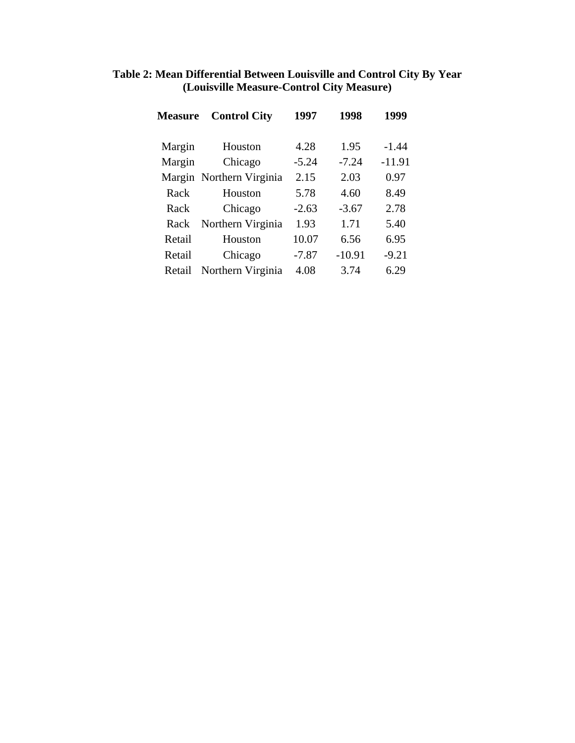| Table 2: Mean Differential Between Louisville and Control City By Year |
|------------------------------------------------------------------------|
| (Louisville Measure-Control City Measure)                              |

| <b>Measure</b> | <b>Control City</b>      | 1997    | 1998     | 1999     |
|----------------|--------------------------|---------|----------|----------|
| Margin         | Houston                  | 4.28    | 1.95     | $-1.44$  |
| Margin         | Chicago                  | $-5.24$ | $-7.24$  | $-11.91$ |
|                | Margin Northern Virginia | 2.15    | 2.03     | 0.97     |
| Rack           | Houston                  | 5.78    | 4.60     | 8.49     |
| Rack           | Chicago                  | $-2.63$ | $-3.67$  | 2.78     |
| Rack           | Northern Virginia        | 1.93    | 1.71     | 5.40     |
| Retail         | Houston                  | 10.07   | 6.56     | 6.95     |
| Retail         | Chicago                  | $-7.87$ | $-10.91$ | $-9.21$  |
| Retail         | Northern Virginia        | 4.08    | 3.74     | 6.29     |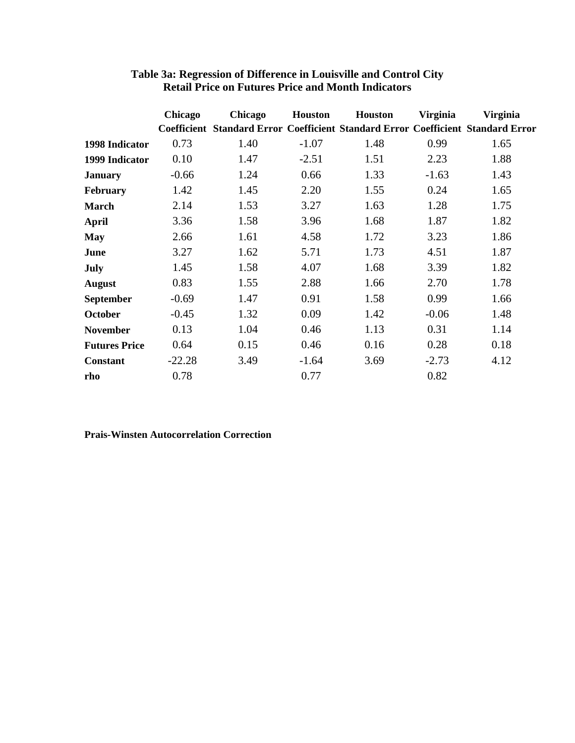|                      | Chicago  | Chicago                                                                          | <b>Houston</b> | Houston | <b>Virginia</b> | <b>Virginia</b> |
|----------------------|----------|----------------------------------------------------------------------------------|----------------|---------|-----------------|-----------------|
|                      |          | Coefficient Standard Error Coefficient Standard Error Coefficient Standard Error |                |         |                 |                 |
| 1998 Indicator       | 0.73     | 1.40                                                                             | $-1.07$        | 1.48    | 0.99            | 1.65            |
| 1999 Indicator       | 0.10     | 1.47                                                                             | $-2.51$        | 1.51    | 2.23            | 1.88            |
| <b>January</b>       | $-0.66$  | 1.24                                                                             | 0.66           | 1.33    | $-1.63$         | 1.43            |
| <b>February</b>      | 1.42     | 1.45                                                                             | 2.20           | 1.55    | 0.24            | 1.65            |
| <b>March</b>         | 2.14     | 1.53                                                                             | 3.27           | 1.63    | 1.28            | 1.75            |
| <b>April</b>         | 3.36     | 1.58                                                                             | 3.96           | 1.68    | 1.87            | 1.82            |
| <b>May</b>           | 2.66     | 1.61                                                                             | 4.58           | 1.72    | 3.23            | 1.86            |
| June                 | 3.27     | 1.62                                                                             | 5.71           | 1.73    | 4.51            | 1.87            |
| July                 | 1.45     | 1.58                                                                             | 4.07           | 1.68    | 3.39            | 1.82            |
| <b>August</b>        | 0.83     | 1.55                                                                             | 2.88           | 1.66    | 2.70            | 1.78            |
| September            | $-0.69$  | 1.47                                                                             | 0.91           | 1.58    | 0.99            | 1.66            |
| <b>October</b>       | $-0.45$  | 1.32                                                                             | 0.09           | 1.42    | $-0.06$         | 1.48            |
| <b>November</b>      | 0.13     | 1.04                                                                             | 0.46           | 1.13    | 0.31            | 1.14            |
| <b>Futures Price</b> | 0.64     | 0.15                                                                             | 0.46           | 0.16    | 0.28            | 0.18            |
| <b>Constant</b>      | $-22.28$ | 3.49                                                                             | $-1.64$        | 3.69    | $-2.73$         | 4.12            |
| rho                  | 0.78     |                                                                                  | 0.77           |         | 0.82            |                 |

### **Table 3a: Regression of Difference in Louisville and Control City Retail Price on Futures Price and Month Indicators**

### **Prais-Winsten Autocorrelation Correction**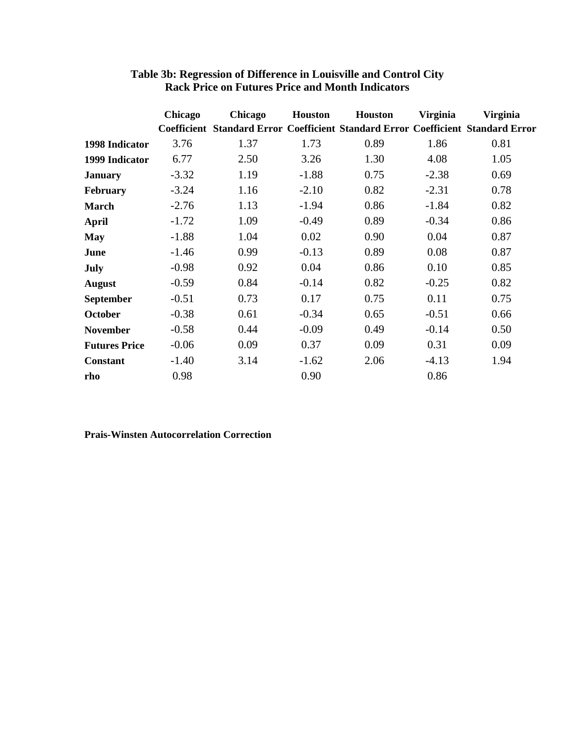|                      | Chicago | Chicago                                                                                 | <b>Houston</b> | Houston | <b>Virginia</b> | <b>Virginia</b> |
|----------------------|---------|-----------------------------------------------------------------------------------------|----------------|---------|-----------------|-----------------|
|                      |         | <b>Coefficient Standard Error Coefficient Standard Error Coefficient Standard Error</b> |                |         |                 |                 |
| 1998 Indicator       | 3.76    | 1.37                                                                                    | 1.73           | 0.89    | 1.86            | 0.81            |
| 1999 Indicator       | 6.77    | 2.50                                                                                    | 3.26           | 1.30    | 4.08            | 1.05            |
| <b>January</b>       | $-3.32$ | 1.19                                                                                    | $-1.88$        | 0.75    | $-2.38$         | 0.69            |
| <b>February</b>      | $-3.24$ | 1.16                                                                                    | $-2.10$        | 0.82    | $-2.31$         | 0.78            |
| <b>March</b>         | $-2.76$ | 1.13                                                                                    | $-1.94$        | 0.86    | $-1.84$         | 0.82            |
| <b>April</b>         | $-1.72$ | 1.09                                                                                    | $-0.49$        | 0.89    | $-0.34$         | 0.86            |
| <b>May</b>           | $-1.88$ | 1.04                                                                                    | 0.02           | 0.90    | 0.04            | 0.87            |
| June                 | $-1.46$ | 0.99                                                                                    | $-0.13$        | 0.89    | 0.08            | 0.87            |
| July                 | $-0.98$ | 0.92                                                                                    | 0.04           | 0.86    | 0.10            | 0.85            |
| <b>August</b>        | $-0.59$ | 0.84                                                                                    | $-0.14$        | 0.82    | $-0.25$         | 0.82            |
| September            | $-0.51$ | 0.73                                                                                    | 0.17           | 0.75    | 0.11            | 0.75            |
| <b>October</b>       | $-0.38$ | 0.61                                                                                    | $-0.34$        | 0.65    | $-0.51$         | 0.66            |
| <b>November</b>      | $-0.58$ | 0.44                                                                                    | $-0.09$        | 0.49    | $-0.14$         | 0.50            |
| <b>Futures Price</b> | $-0.06$ | 0.09                                                                                    | 0.37           | 0.09    | 0.31            | 0.09            |
| <b>Constant</b>      | $-1.40$ | 3.14                                                                                    | $-1.62$        | 2.06    | $-4.13$         | 1.94            |
| rho                  | 0.98    |                                                                                         | 0.90           |         | 0.86            |                 |

### **Table 3b: Regression of Difference in Louisville and Control City Rack Price on Futures Price and Month Indicators**

### **Prais-Winsten Autocorrelation Correction**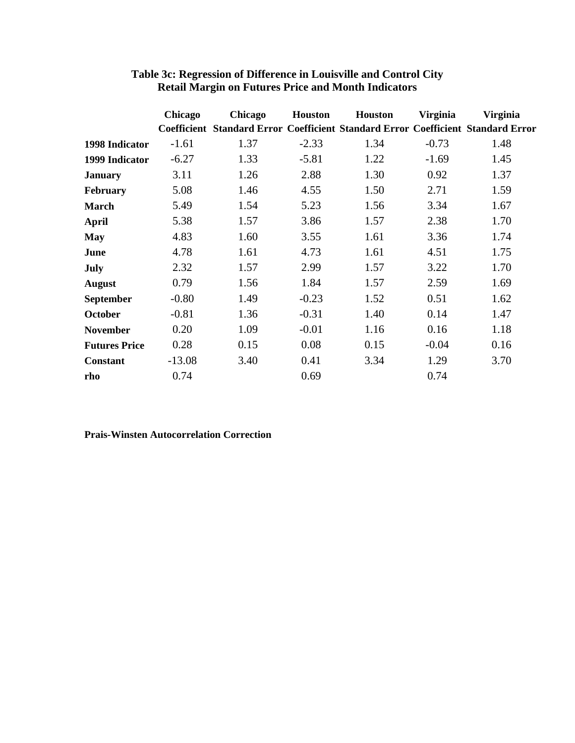|                      | Chicago  | Chicago                                                                                 | <b>Houston</b> | Houston | <b>Virginia</b> | <b>Virginia</b> |
|----------------------|----------|-----------------------------------------------------------------------------------------|----------------|---------|-----------------|-----------------|
|                      |          | <b>Coefficient Standard Error Coefficient Standard Error Coefficient Standard Error</b> |                |         |                 |                 |
| 1998 Indicator       | $-1.61$  | 1.37                                                                                    | $-2.33$        | 1.34    | $-0.73$         | 1.48            |
| 1999 Indicator       | $-6.27$  | 1.33                                                                                    | $-5.81$        | 1.22    | $-1.69$         | 1.45            |
| <b>January</b>       | 3.11     | 1.26                                                                                    | 2.88           | 1.30    | 0.92            | 1.37            |
| <b>February</b>      | 5.08     | 1.46                                                                                    | 4.55           | 1.50    | 2.71            | 1.59            |
| <b>March</b>         | 5.49     | 1.54                                                                                    | 5.23           | 1.56    | 3.34            | 1.67            |
| <b>April</b>         | 5.38     | 1.57                                                                                    | 3.86           | 1.57    | 2.38            | 1.70            |
| <b>May</b>           | 4.83     | 1.60                                                                                    | 3.55           | 1.61    | 3.36            | 1.74            |
| June                 | 4.78     | 1.61                                                                                    | 4.73           | 1.61    | 4.51            | 1.75            |
| July                 | 2.32     | 1.57                                                                                    | 2.99           | 1.57    | 3.22            | 1.70            |
| <b>August</b>        | 0.79     | 1.56                                                                                    | 1.84           | 1.57    | 2.59            | 1.69            |
| September            | $-0.80$  | 1.49                                                                                    | $-0.23$        | 1.52    | 0.51            | 1.62            |
| <b>October</b>       | $-0.81$  | 1.36                                                                                    | $-0.31$        | 1.40    | 0.14            | 1.47            |
| <b>November</b>      | 0.20     | 1.09                                                                                    | $-0.01$        | 1.16    | 0.16            | 1.18            |
| <b>Futures Price</b> | 0.28     | 0.15                                                                                    | 0.08           | 0.15    | $-0.04$         | 0.16            |
| <b>Constant</b>      | $-13.08$ | 3.40                                                                                    | 0.41           | 3.34    | 1.29            | 3.70            |
| rho                  | 0.74     |                                                                                         | 0.69           |         | 0.74            |                 |

### **Table 3c: Regression of Difference in Louisville and Control City Retail Margin on Futures Price and Month Indicators**

## **Prais-Winsten Autocorrelation Correction**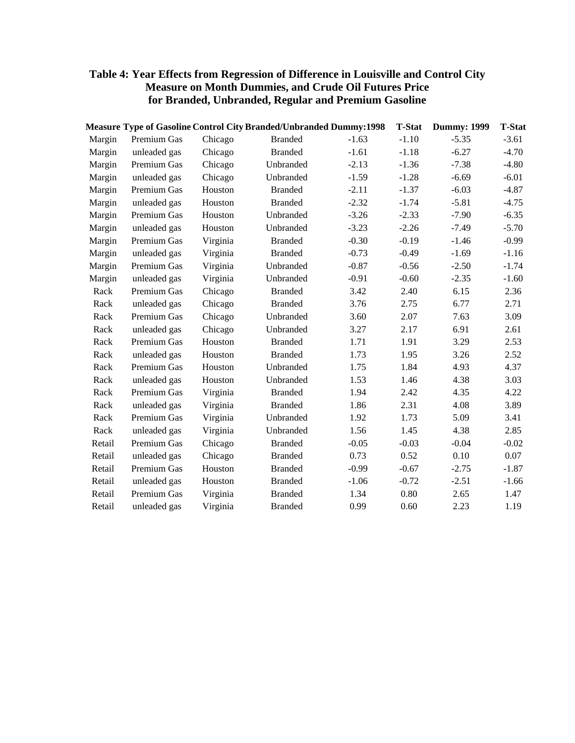# **Table 4: Year Effects from Regression of Difference in Louisville and Control City Measure on Month Dummies, and Crude Oil Futures Price for Branded, Unbranded, Regular and Premium Gasoline**

|              |          |                |         | <b>T-Stat</b>                                                             | <b>Dummy: 1999</b> | <b>T-Stat</b> |
|--------------|----------|----------------|---------|---------------------------------------------------------------------------|--------------------|---------------|
| Premium Gas  | Chicago  | <b>Branded</b> | $-1.63$ | $-1.10$                                                                   | $-5.35$            | $-3.61$       |
| unleaded gas | Chicago  | <b>Branded</b> | $-1.61$ | $-1.18$                                                                   | $-6.27$            | $-4.70$       |
| Premium Gas  | Chicago  | Unbranded      | $-2.13$ | $-1.36$                                                                   | $-7.38$            | $-4.80$       |
| unleaded gas | Chicago  | Unbranded      | $-1.59$ | $-1.28$                                                                   | $-6.69$            | $-6.01$       |
| Premium Gas  | Houston  | <b>Branded</b> | $-2.11$ | $-1.37$                                                                   | $-6.03$            | $-4.87$       |
| unleaded gas | Houston  | <b>Branded</b> | $-2.32$ | $-1.74$                                                                   | $-5.81$            | $-4.75$       |
| Premium Gas  | Houston  | Unbranded      | $-3.26$ | $-2.33$                                                                   | $-7.90$            | $-6.35$       |
| unleaded gas | Houston  | Unbranded      | $-3.23$ | $-2.26$                                                                   | $-7.49$            | $-5.70$       |
| Premium Gas  | Virginia | <b>Branded</b> | $-0.30$ | $-0.19$                                                                   | $-1.46$            | $-0.99$       |
| unleaded gas | Virginia | <b>Branded</b> | $-0.73$ | $-0.49$                                                                   | $-1.69$            | $-1.16$       |
| Premium Gas  | Virginia | Unbranded      | $-0.87$ | $-0.56$                                                                   | $-2.50$            | $-1.74$       |
| unleaded gas | Virginia | Unbranded      | $-0.91$ | $-0.60$                                                                   | $-2.35$            | $-1.60$       |
| Premium Gas  | Chicago  | <b>Branded</b> | 3.42    | 2.40                                                                      | 6.15               | 2.36          |
| unleaded gas | Chicago  | <b>Branded</b> | 3.76    | 2.75                                                                      | 6.77               | 2.71          |
| Premium Gas  | Chicago  | Unbranded      | 3.60    | 2.07                                                                      | 7.63               | 3.09          |
| unleaded gas | Chicago  | Unbranded      | 3.27    | 2.17                                                                      | 6.91               | 2.61          |
| Premium Gas  | Houston  | <b>Branded</b> | 1.71    | 1.91                                                                      | 3.29               | 2.53          |
| unleaded gas | Houston  | <b>Branded</b> | 1.73    | 1.95                                                                      | 3.26               | 2.52          |
| Premium Gas  | Houston  | Unbranded      | 1.75    | 1.84                                                                      | 4.93               | 4.37          |
| unleaded gas | Houston  | Unbranded      | 1.53    | 1.46                                                                      | 4.38               | 3.03          |
| Premium Gas  | Virginia | <b>Branded</b> | 1.94    | 2.42                                                                      | 4.35               | 4.22          |
| unleaded gas | Virginia | <b>Branded</b> | 1.86    | 2.31                                                                      | 4.08               | 3.89          |
| Premium Gas  | Virginia | Unbranded      | 1.92    | 1.73                                                                      | 5.09               | 3.41          |
| unleaded gas | Virginia | Unbranded      | 1.56    | 1.45                                                                      | 4.38               | 2.85          |
| Premium Gas  | Chicago  | <b>Branded</b> | $-0.05$ | $-0.03$                                                                   | $-0.04$            | $-0.02$       |
| unleaded gas | Chicago  | <b>Branded</b> | 0.73    | 0.52                                                                      | 0.10               | 0.07          |
| Premium Gas  | Houston  | <b>Branded</b> | $-0.99$ | $-0.67$                                                                   | $-2.75$            | $-1.87$       |
| unleaded gas | Houston  | <b>Branded</b> | $-1.06$ | $-0.72$                                                                   | $-2.51$            | $-1.66$       |
| Premium Gas  | Virginia | <b>Branded</b> | 1.34    | 0.80                                                                      | 2.65               | 1.47          |
| unleaded gas | Virginia | <b>Branded</b> | 0.99    | 0.60                                                                      | 2.23               | 1.19          |
|              |          |                |         | <b>Measure Type of Gasoline Control City Branded/Unbranded Dummy:1998</b> |                    |               |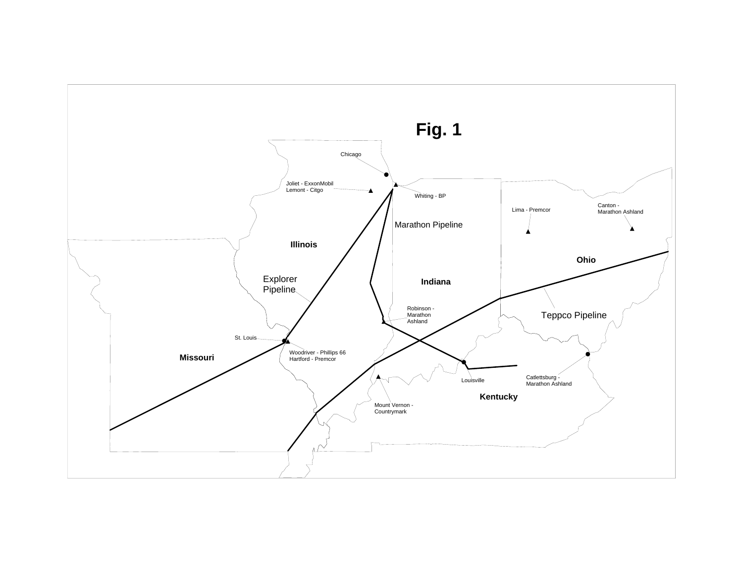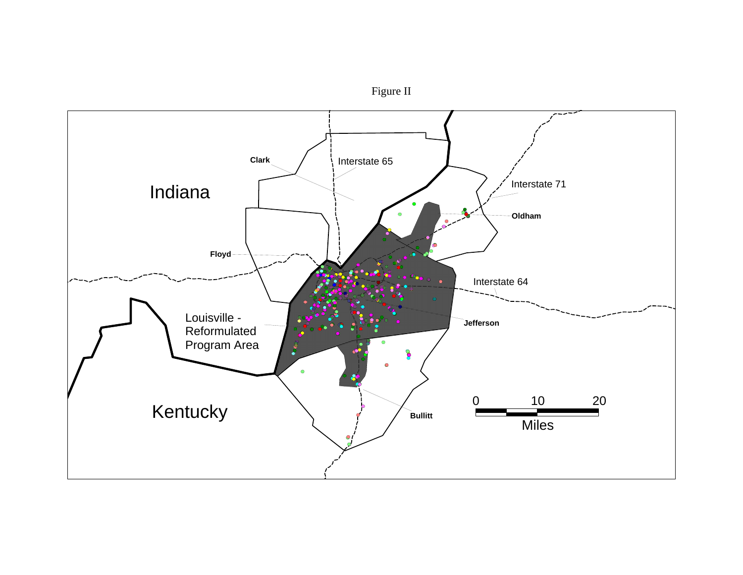

Figure II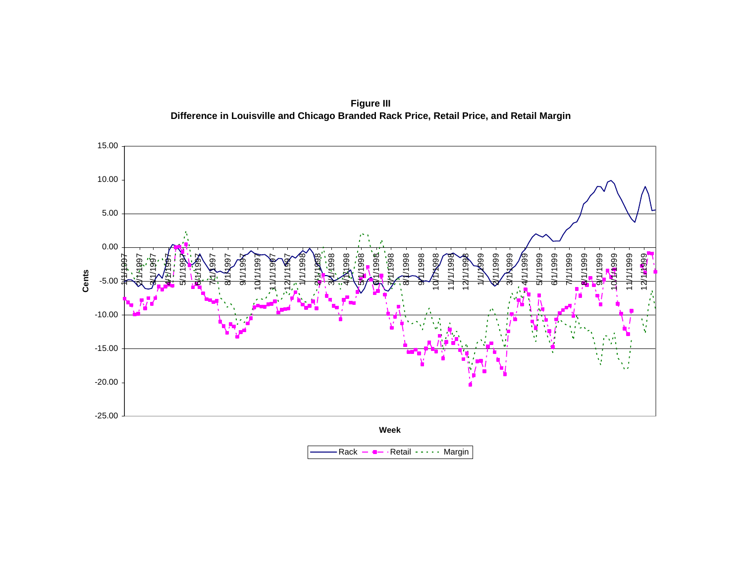**Figure III Difference in Louisville and Chicago Branded Rack Price, Retail Price, and Retail Margin**

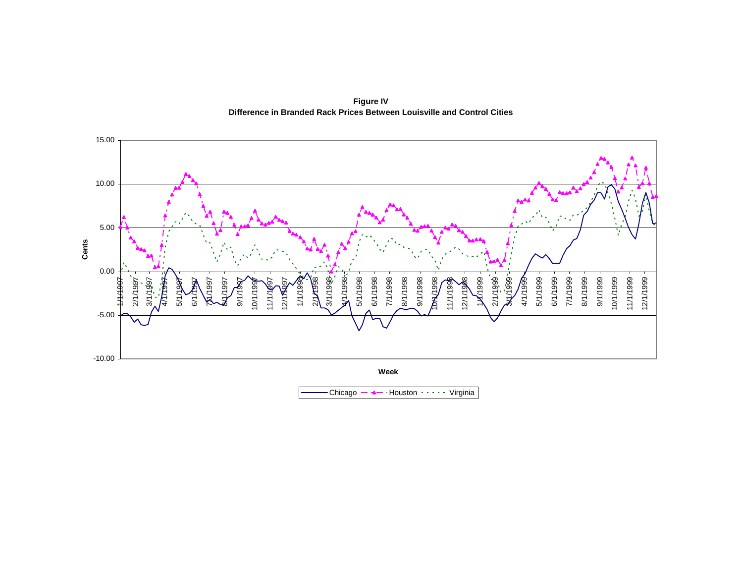**Figure IV Difference in Branded Rack Prices Between Louisville and Control Cities**



Chicago Houston Virginia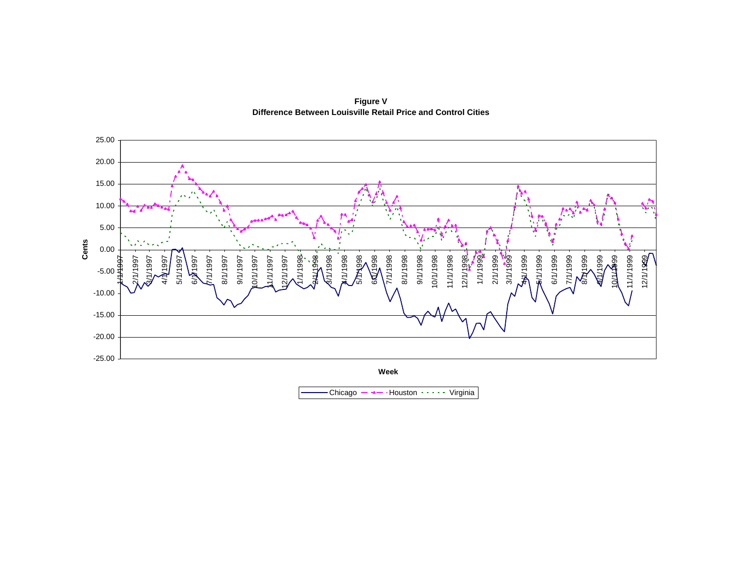

**Figure V Difference Between Louisville Retail Price and Control Cities**

Chicago Houston Virginia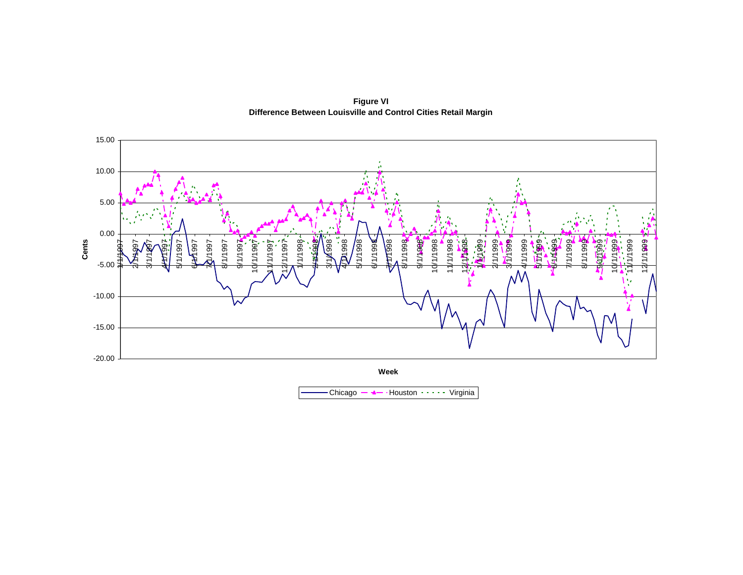

**Figure VI Difference Between Louisville and Control Cities Retail Margin**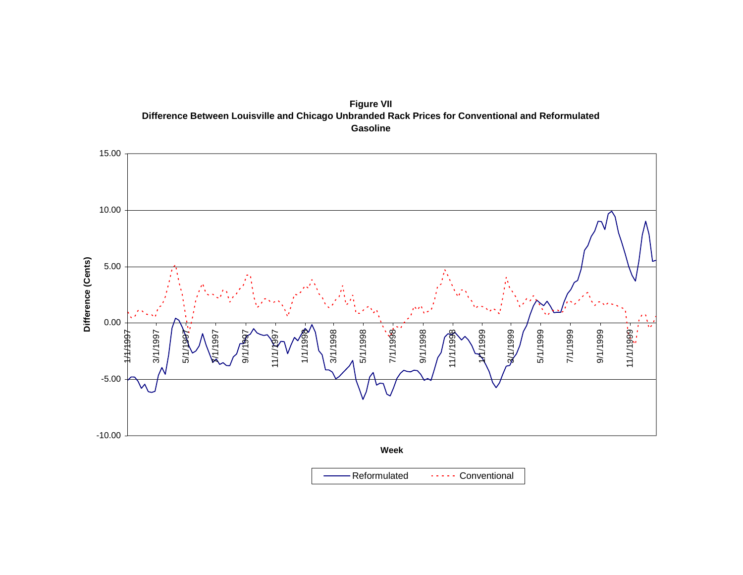



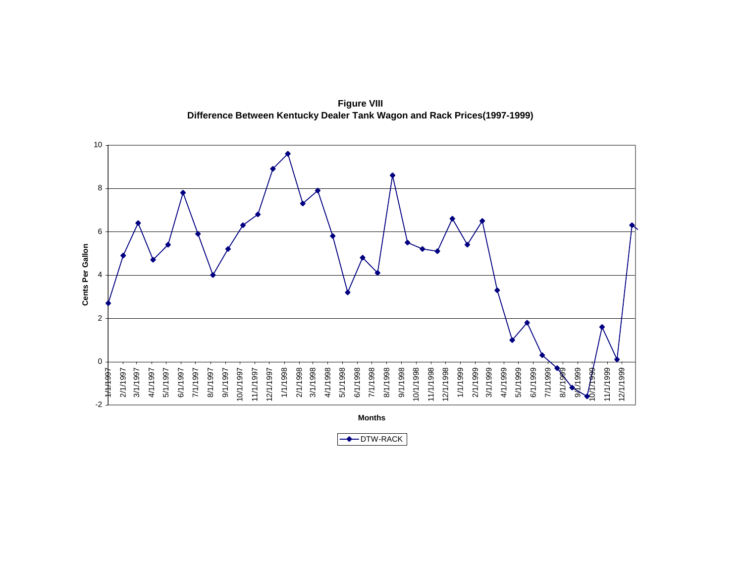

**Figure VIII Difference Between Kentucky Dealer Tank Wagon and Rack Prices(1997-1999)**

**←DTW-RACK**